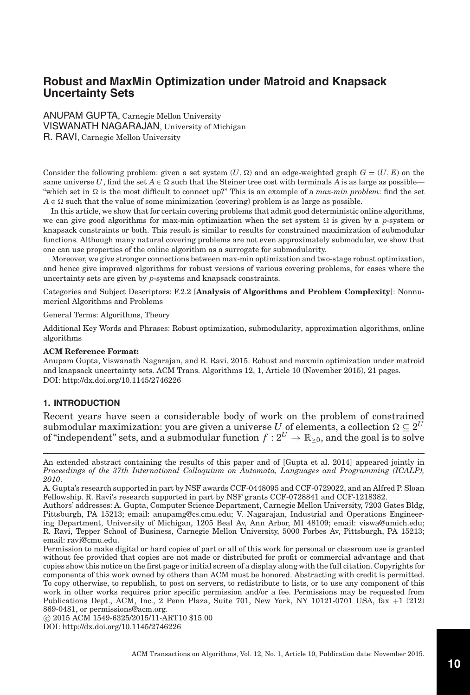# **Robust and MaxMin Optimization under Matroid and Knapsack Uncertainty Sets**

ANUPAM GUPTA, Carnegie Mellon University VISWANATH NAGARAJAN, University of Michigan R. RAVI, Carnegie Mellon University

Consider the following problem: given a set system  $(U, \Omega)$  and an edge-weighted graph  $G = (U, E)$  on the same universe U, find the set  $A \in \Omega$  such that the Steiner tree cost with terminals A is as large as possible— "which set in  $\Omega$  is the most difficult to connect up?" This is an example of a *max-min problem*: find the set  $A \in \Omega$  such that the value of some minimization (covering) problem is as large as possible.

In this article, we show that for certain covering problems that admit good deterministic online algorithms, we can give good algorithms for max-min optimization when the set system  $\Omega$  is given by a *p*-system or knapsack constraints or both. This result is similar to results for constrained maximization of submodular functions. Although many natural covering problems are not even approximately submodular, we show that one can use properties of the online algorithm as a surrogate for submodularity.

Moreover, we give stronger connections between max-min optimization and two-stage robust optimization, and hence give improved algorithms for robust versions of various covering problems, for cases where the uncertainty sets are given by *p*-systems and knapsack constraints.

Categories and Subject Descriptors: F.2.2 [**Analysis of Algorithms and Problem Complexity**]: Nonnumerical Algorithms and Problems

General Terms: Algorithms, Theory

Additional Key Words and Phrases: Robust optimization, submodularity, approximation algorithms, online algorithms

#### **ACM Reference Format:**

Anupam Gupta, Viswanath Nagarajan, and R. Ravi. 2015. Robust and maxmin optimization under matroid and knapsack uncertainty sets. ACM Trans. Algorithms 12, 1, Article 10 (November 2015), 21 pages. DOI:<http://dx.doi.org/10.1145/2746226>

#### **1. INTRODUCTION**

Recent years have seen a considerable body of work on the problem of constrained submodular maximization: you are given a universe  $U$  of elements, a collection  $\Omega \subseteq 2^U$ of "independent" sets, and a submodular function  $f: 2^U \to \mathbb{R}_{>0}$ , and the goal is to solve

-c 2015 ACM 1549-6325/2015/11-ART10 \$15.00

An extended abstract containing the results of this paper and of [Gupta et al. [2014\]](#page-19-0) appeared jointly in *Proceedings of the 37th International Colloquium on Automata, Languages and Programming (ICALP), 2010*.

A. Gupta's research supported in part by NSF awards CCF-0448095 and CCF-0729022, and an Alfred P. Sloan Fellowship. R. Ravi's research supported in part by NSF grants CCF-0728841 and CCF-1218382.

Authors' addresses: A. Gupta, Computer Science Department, Carnegie Mellon University, 7203 Gates Bldg, Pittsburgh, PA 15213; email: anupamg@cs.cmu.edu; V. Nagarajan, Industrial and Operations Engineering Department, University of Michigan, 1205 Beal Av, Ann Arbor, MI 48109; email: viswa@umich.edu; R. Ravi, Tepper School of Business, Carnegie Mellon University, 5000 Forbes Av, Pittsburgh, PA 15213; email: ravi@cmu.edu.

Permission to make digital or hard copies of part or all of this work for personal or classroom use is granted without fee provided that copies are not made or distributed for profit or commercial advantage and that copies show this notice on the first page or initial screen of a display along with the full citation. Copyrights for components of this work owned by others than ACM must be honored. Abstracting with credit is permitted. To copy otherwise, to republish, to post on servers, to redistribute to lists, or to use any component of this work in other works requires prior specific permission and/or a fee. Permissions may be requested from Publications Dept., ACM, Inc., 2 Penn Plaza, Suite 701, New York, NY 10121-0701 USA, fax +1 (212) 869-0481, or permissions@acm.org.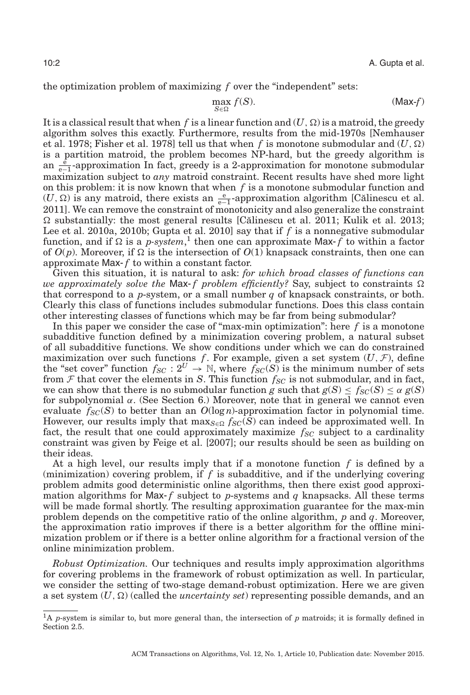the optimization problem of maximizing *f* over the "independent" sets:

$$
\max_{S \in \Omega} f(S). \tag{Max-f}
$$

It is a classical result that when  $f$  is a linear function and  $(U,\Omega)$  is a matroid, the greedy algorithm solves this exactly. Furthermore, results from the mid-1970s [Nemhauser et al. [1978;](#page-20-0) Fisher et al. [1978\]](#page-19-1) tell us that when  $f$  is monotone submodular and  $(U,\Omega)$ is a partition matroid, the problem becomes NP-hard, but the greedy algorithm is an  $\frac{\hat{e}}{e-1}$ -approximation In fact, greedy is a 2-approximation for monotone submodular maximization subject to *any* matroid constraint. Recent results have shed more light on this problem: it is now known that when *f* is a monotone submodular function and  $(U, \Omega)$  is any matroid, there exists an  $\frac{e}{e-1}$ -approximation algorithm [Călinescu et al. [2011\]](#page-19-2). We can remove the constraint of monotonicity and also generalize the constraint  $\Omega$  substantially: the most general results [Călinescu et al. [2011;](#page-19-2) Kulik et al. [2013;](#page-20-1) Lee et al. [2010a,](#page-20-2) [2010b;](#page-20-3) Gupta et al. [2010\]](#page-19-3) say that if *f* is a nonnegative submodular function, and if  $\Omega$  is a *p-system*,<sup>[1](#page-1-0)</sup> then one can approximate Max- $f$  to within a factor of  $O(p)$ . Moreover, if  $\Omega$  is the intersection of  $O(1)$  knapsack constraints, then one can approximate Max- *f* to within a constant factor.

Given this situation, it is natural to ask: *for which broad classes of functions can we approximately solve the Max-f problem efficiently?* Say, subject to constraints  $\Omega$ that correspond to a *p*-system, or a small number *q* of knapsack constraints, or both. Clearly this class of functions includes submodular functions. Does this class contain other interesting classes of functions which may be far from being submodular?

In this paper we consider the case of "max-min optimization": here *f* is a monotone subadditive function defined by a minimization covering problem, a natural subset of all subadditive functions. We show conditions under which we can do constrained maximization over such functions f. For example, given a set system  $(U, \mathcal{F})$ , define the "set cover" function  $f_{SC} : 2^U \rightarrow \mathbb{N}$ , where  $f_{SC}(S)$  is the minimum number of sets from  $F$  that cover the elements in *S*. This function  $f_{SC}$  is not submodular, and in fact, we can show that there is no submodular function *g* such that  $g(S) \leq f_{SC}(S) \leq \alpha g(S)$ for subpolynomial  $\alpha$ . (See Section [6.](#page-16-0)) Moreover, note that in general we cannot even evaluate  $f_{SC}(S)$  to better than an  $O(\log n)$ -approximation factor in polynomial time. However, our results imply that  $\max_{S \in \Omega} f_{SC}(S)$  can indeed be approximated well. In fact, the result that one could approximately maximize  $f_{SC}$  subject to a cardinality constraint was given by Feige et al. [\[2007\]](#page-19-4); our results should be seen as building on their ideas.

At a high level, our results imply that if a monotone function *f* is defined by a (minimization) covering problem, if *f* is subadditive, and if the underlying covering problem admits good deterministic online algorithms, then there exist good approximation algorithms for Max- $f$  subject to  $p$ -systems and  $q$  knapsacks. All these terms will be made formal shortly. The resulting approximation guarantee for the max-min problem depends on the competitive ratio of the online algorithm, *p* and *q*. Moreover, the approximation ratio improves if there is a better algorithm for the offline minimization problem or if there is a better online algorithm for a fractional version of the online minimization problem.

*Robust Optimization.* Our techniques and results imply approximation algorithms for covering problems in the framework of robust optimization as well. In particular, we consider the setting of two-stage demand-robust optimization. Here we are given a set system  $(U, \Omega)$  (called the *uncertainty set*) representing possible demands, and an

<span id="page-1-0"></span><sup>1</sup>A *p*-system is similar to, but more general than, the intersection of *p* matroids; it is formally defined in Section [2.5.](#page-6-0)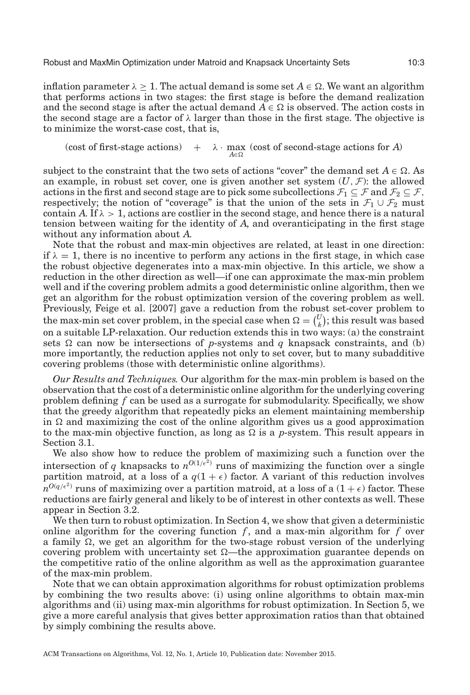inflation parameter  $\lambda \geq 1.$  The actual demand is some set  $A \in \Omega.$  We want an algorithm that performs actions in two stages: the first stage is before the demand realization and the second stage is after the actual demand  $A \in \Omega$  is observed. The action costs in the second stage are a factor of  $\lambda$  larger than those in the first stage. The objective is to minimize the worst-case cost, that is,

(cost of first-stage actions)  $A∈Ω$  $+ \lambda \cdot \max$  (cost of second-stage actions for *A*)

subject to the constraint that the two sets of actions "cover" the demand set  $A \in \Omega$ . As an example, in robust set cover, one is given another set system  $(U, \mathcal{F})$ : the allowed actions in the first and second stage are to pick some subcollections  $\mathcal{F}_1\subseteq\mathcal{F}$  and  $\mathcal{F}_2\subseteq\mathcal{F}$ , respectively; the notion of "coverage" is that the union of the sets in  $\mathcal{F}_1 \cup \mathcal{F}_2$  must contain *A*. If  $\lambda > 1$ , actions are costlier in the second stage, and hence there is a natural tension between waiting for the identity of *A*, and overanticipating in the first stage without any information about *A*.

Note that the robust and max-min objectives are related, at least in one direction: if  $\lambda = 1$ , there is no incentive to perform any actions in the first stage, in which case the robust objective degenerates into a max-min objective. In this article, we show a reduction in the other direction as well—if one can approximate the max-min problem well and if the covering problem admits a good deterministic online algorithm, then we get an algorithm for the robust optimization version of the covering problem as well. Previously, Feige et al. [\[2007\]](#page-19-4) gave a reduction from the robust set-cover problem to the max-min set cover problem, in the special case when  $\Omega = \begin{pmatrix} U_h \\ V_h \end{pmatrix}$  $\binom{U}{k}$ ; this result was based on a suitable LP-relaxation. Our reduction extends this in two ways: (a) the constraint sets  $\Omega$  can now be intersections of *p*-systems and *q* knapsack constraints, and (b) more importantly, the reduction applies not only to set cover, but to many subadditive covering problems (those with deterministic online algorithms).

*Our Results and Techniques.* Our algorithm for the max-min problem is based on the observation that the cost of a deterministic online algorithm for the underlying covering problem defining *f* can be used as a surrogate for submodularity. Specifically, we show that the greedy algorithm that repeatedly picks an element maintaining membership in  $\Omega$  and maximizing the cost of the online algorithm gives us a good approximation to the max-min objective function, as long as  $\Omega$  is a *p*-system. This result appears in Section [3.1.](#page-6-1)

We also show how to reduce the problem of maximizing such a function over the intersection of *q* knapsacks to  $n^{O(1/\epsilon^2)}$  runs of maximizing the function over a single partition matroid, at a loss of a  $q(1 + \epsilon)$  factor. A variant of this reduction involves  $n^{O(q/\epsilon^2)}$  runs of maximizing over a partition matroid, at a loss of a  $(1 + \epsilon)$  factor. These reductions are fairly general and likely to be of interest in other contexts as well. These appear in Section [3.2.](#page-8-0)

We then turn to robust optimization. In Section [4,](#page-11-0) we show that given a deterministic online algorithm for the covering function  $f$ , and a max-min algorithm for  $f$  over a family  $\Omega$ , we get an algorithm for the two-stage robust version of the underlying covering problem with uncertainty set  $\Omega$ —the approximation guarantee depends on the competitive ratio of the online algorithm as well as the approximation guarantee of the max-min problem.

Note that we can obtain approximation algorithms for robust optimization problems by combining the two results above: (i) using online algorithms to obtain max-min algorithms and (ii) using max-min algorithms for robust optimization. In Section [5,](#page-12-0) we give a more careful analysis that gives better approximation ratios than that obtained by simply combining the results above.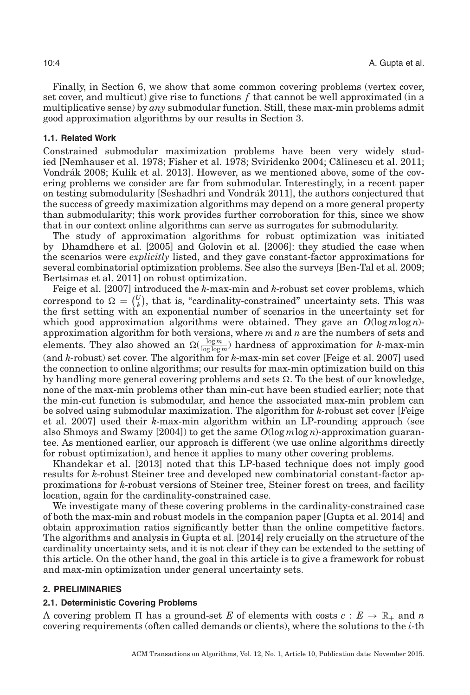Finally, in Section [6,](#page-16-0) we show that some common covering problems (vertex cover, set cover, and multicut) give rise to functions *f* that cannot be well approximated (in a multiplicative sense) by *any* submodular function. Still, these max-min problems admit good approximation algorithms by our results in Section [3.](#page-6-2)

## **1.1. Related Work**

Constrained submodular maximization problems have been very widely studied [Nemhauser et al. [1978;](#page-20-0) Fisher et al. [1978;](#page-19-1) Sviridenko [2004;](#page-20-4) Calinescu et al. [2011;](#page-19-2) ˘ Vondrák [2008;](#page-20-5) Kulik et al. [2013\]](#page-20-1). However, as we mentioned above, some of the covering problems we consider are far from submodular. Interestingly, in a recent paper on testing submodularity [Seshadhri and Vondrák [2011\]](#page-20-6), the authors conjectured that the success of greedy maximization algorithms may depend on a more general property than submodularity; this work provides further corroboration for this, since we show that in our context online algorithms can serve as surrogates for submodularity.

The study of approximation algorithms for robust optimization was initiated by Dhamdhere et al. [\[2005\]](#page-19-5) and Golovin et al. [\[2006\]](#page-19-6): they studied the case when the scenarios were *explicitly* listed, and they gave constant-factor approximations for several combinatorial optimization problems. See also the surveys [Ben-Tal et al. [2009;](#page-19-7) Bertsimas et al. [2011\]](#page-19-8) on robust optimization.

Feige et al. [\[2007\]](#page-19-4) introduced the *k*-max-min and *k*-robust set cover problems, which correspond to  $\Omega = \begin{pmatrix} U \\ h \end{pmatrix}$  $h_k^U$ , that is, "cardinality-constrained" uncertainty sets. This was the first setting with an exponential number of scenarios in the uncertainty set for which good approximation algorithms were obtained. They gave an  $O(\log m \log n)$ approximation algorithm for both versions, where *m*and *n* are the numbers of sets and elements. They also showed an  $\Omega(\frac{\log m}{\log \log m})$  hardness of approximation for *k*-max-min (and *k*-robust) set cover. The algorithm for *k*-max-min set cover [Feige et al. [2007\]](#page-19-4) used the connection to online algorithms; our results for max-min optimization build on this by handling more general covering problems and sets  $\Omega$ . To the best of our knowledge, none of the max-min problems other than min-cut have been studied earlier; note that the min-cut function is submodular, and hence the associated max-min problem can be solved using submodular maximization. The algorithm for *k*-robust set cover [Feige et al. [2007\]](#page-19-4) used their *k*-max-min algorithm within an LP-rounding approach (see also Shmoys and Swamy [\[2004\]](#page-20-7)) to get the same *O*(log *m*log *n*)-approximation guarantee. As mentioned earlier, our approach is different (we use online algorithms directly for robust optimization), and hence it applies to many other covering problems.

Khandekar et al. [\[2013\]](#page-20-8) noted that this LP-based technique does not imply good results for *k*-robust Steiner tree and developed new combinatorial constant-factor approximations for *k*-robust versions of Steiner tree, Steiner forest on trees, and facility location, again for the cardinality-constrained case.

We investigate many of these covering problems in the cardinality-constrained case of both the max-min and robust models in the companion paper [Gupta et al. [2014\]](#page-19-0) and obtain approximation ratios significantly better than the online competitive factors. The algorithms and analysis in Gupta et al. [\[2014\]](#page-19-0) rely crucially on the structure of the cardinality uncertainty sets, and it is not clear if they can be extended to the setting of this article. On the other hand, the goal in this article is to give a framework for robust and max-min optimization under general uncertainty sets.

## **2. PRELIMINARIES**

#### <span id="page-3-0"></span>**2.1. Deterministic Covering Problems**

A covering problem  $\Pi$  has a ground-set E of elements with costs  $c: E \to \mathbb{R}_+$  and n covering requirements (often called demands or clients), where the solutions to the *i*-th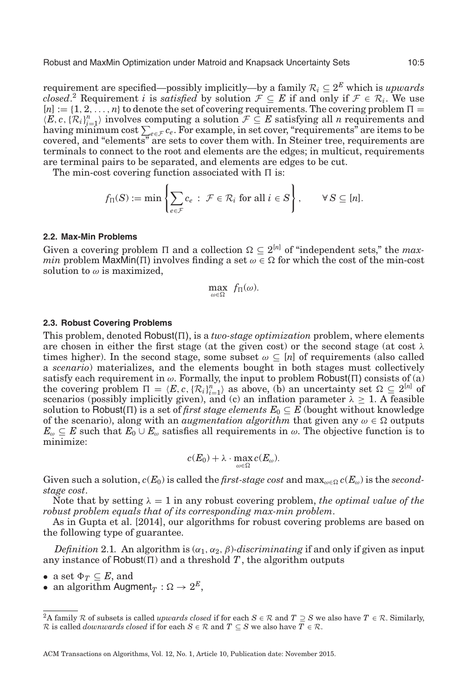requirement are specified—possibly implicitly—by a family  $\mathcal{R}_i \subseteq 2^E$  which is *upwards closed*.<sup>[2](#page-4-0)</sup> Requirement *i* is *satisfied* by solution  $\mathcal{F} \subseteq E$  if and only if  $\mathcal{F} \in \mathcal{R}_i$ . We use  $[n] := \{1, 2, \ldots, n\}$  to denote the set of covering requirements. The covering problem  $\Pi =$  $(E, c, \{\mathcal{R}_i\}_{i=1}^n)$  involves computing a solution  $\mathcal{F} \subseteq E$  satisfying all *n* requirements and<br>having minimum cost  $\sum_{e \in \mathcal{F}} c_e$ . For example, in set cover, "requirements" are items to be covered, and "elements" are sets to cover them with. In Steiner tree, requirements are terminals to connect to the root and elements are the edges; in multicut, requirements are terminal pairs to be separated, and elements are edges to be cut.

The min-cost covering function associated with  $\Pi$  is:

$$
f_{\Pi}(S) := \min \left\{ \sum_{e \in \mathcal{F}} c_e \, : \, \mathcal{F} \in \mathcal{R}_i \text{ for all } i \in S \right\}, \qquad \forall S \subseteq [n].
$$

# **2.2. Max-Min Problems**

Given a covering problem  $\Pi$  and a collection  $\Omega \subseteq 2^{[n]}$  of "independent sets," the *maxmin* problem  $\mathsf{MaxMin}(\Pi)$  involves finding a set  $\omega \in \Omega$  for which the cost of the min-cost solution to  $\omega$  is maximized,

$$
\max_{\omega \in \Omega} f_{\Pi}(\omega).
$$

# **2.3. Robust Covering Problems**

This problem, denoted Robust $(\Pi)$ , is a *two-stage optimization* problem, where elements are chosen in either the first stage (at the given cost) or the second stage (at cost  $\lambda$ times higher). In the second stage, some subset  $\omega \subseteq [n]$  of requirements (also called a *scenario*) materializes, and the elements bought in both stages must collectively satisfy each requirement in  $\omega$ . Formally, the input to problem Robust( $\Pi$ ) consists of (a) the covering problem  $\Pi = \langle E, c, \{\mathcal{R}_i\}_{i=1}^n \rangle$  as above, (b) an uncertainty set  $\Omega \subseteq 2^{[n]}$  of scenarios (possibly implicitly given), and (c) an inflation parameter  $\lambda \geq 1$ . A feasible solution to Robust( $\Pi$ ) is a set of *first stage elements*  $E_0 \subseteq E$  (bought without knowledge of the scenario), along with an *augmentation algorithm* that given any  $\omega \in \Omega$  outputs  $E_{\omega} \subseteq E$  such that  $E_0 \cup E_{\omega}$  satisfies all requirements in  $\omega$ . The objective function is to minimize:

$$
c(E_0)+\lambda\cdot\max_{\omega\in\Omega}c(E_{\omega}).
$$

Given such a solution,  $c(E_0)$  is called the  $\hat\mu rst$ -stage  $cost$  and  $\max_{\omega \in \Omega} c(E_\omega)$  is the  $second$ *stage cost*.

Note that by setting  $\lambda = 1$  in any robust covering problem, *the optimal value of the robust problem equals that of its corresponding max-min problem*.

As in Gupta et al. [\[2014\]](#page-19-0), our algorithms for robust covering problems are based on the following type of guarantee.

<span id="page-4-1"></span>*Definition* 2.1. An algorithm is  $(\alpha_1, \alpha_2, \beta)$ *-discriminating* if and only if given as input any instance of Robust( $\Pi$ ) and a threshold  $T$ , the algorithm outputs

- a set  $\Phi_T \subseteq E$ , and
- $\bullet \ \text{ an algorithm Augment}_T: \Omega \rightarrow 2^E,$

<span id="page-4-0"></span><sup>&</sup>lt;sup>2</sup>A family  $\mathcal R$  of subsets is called *upwards closed* if for each  $S \in \mathcal R$  and  $T \supseteq S$  we also have  $T \in \mathcal R$ . Similarly, R is called *downwards closed* if for each  $S \in \mathcal{R}$  and  $T \subseteq S$  we also have  $T \in \mathcal{R}$ .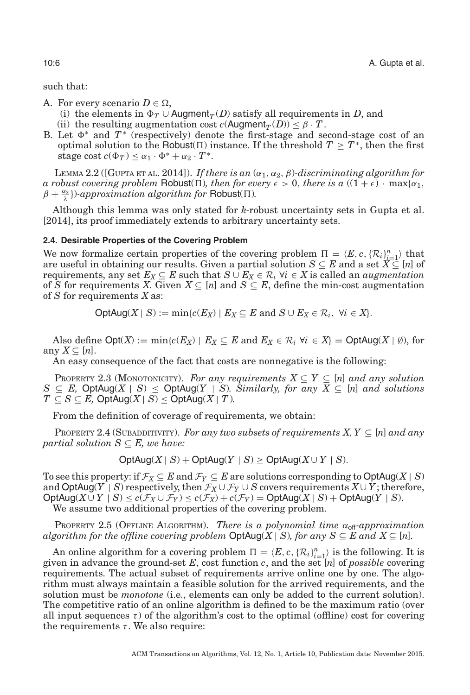such that:

- A. For every scenario  $D \in \Omega$ ,
	- (i) the elements in  $\Phi_T \cup$  Augment<sub>*T*</sub>(*D*) satisfy all requirements in *D*, and
	- (ii) the resulting augmentation cost  $c(Augment_T(D)) \leq \beta \cdot T$ .
- B. Let  $\Phi^*$  and  $T^*$  (respectively) denote the first-stage and second-stage cost of an optimal solution to the Robust( $\Pi$ ) instance. If the threshold  $T \geq T^*$ , then the first stage cost  $c(\Phi_T) < \alpha_1 \cdot \Phi^* + \alpha_2 \cdot T^*$ .

<span id="page-5-2"></span>LEMMA 2.2 ([GUPTA ET AL. [2014\]](#page-19-0)). *If there is an*  $(\alpha_1, \alpha_2, \beta)$ -discriminating algorithm for *a robust covering problem* Robust( $\Pi$ ), *then for every*  $\epsilon > 0$ , *there is a* ( $(1 + \epsilon) \cdot \max\{\alpha_1, \alpha_2\}$  $\beta + \frac{\alpha_2}{\lambda}$ })*-approximation algorithm for* Robust( $\Pi$ ).

Although this lemma was only stated for *k*-robust uncertainty sets in Gupta et al. [\[2014\]](#page-19-0), its proof immediately extends to arbitrary uncertainty sets.

#### **2.4. Desirable Properties of the Covering Problem**

We now formalize certain properties of the covering problem  $\Pi = \langle E, c, \{R_i\}_{i=1}^n \rangle$  that are useful in obtaining our results. Given a partial solution  $S \subseteq E$  and a set  $X \subseteq [n]$  of requirements, any set  $E_X \subseteq E$  such that  $S \cup E_X \in \mathcal{R}_i$   $\forall i \in X$  is called an *augmentation* of *S* for requirements *X*. Given  $X \subseteq [n]$  and  $S \subseteq E$ , define the min-cost augmentation of *S* for requirements *X* as:

 $\text{OptAug}(X \mid S) := \min\{c(E_X) \mid E_X \subseteq E \text{ and } S \cup E_X \in \mathcal{R}_i, \forall i \in X\}.$ 

Also define  $Opt(X) := min{c(E_X) | E_X \subseteq E}$  and  $E_X \in \mathcal{R}_i$   $\forall i \in X$  =  $OptAug(X | \emptyset)$ , for any  $X \subseteq [n]$ .

An easy consequence of the fact that costs are nonnegative is the following:

PROPERTY 2.3 (MONOTONICITY). *For any requirements*  $X \subseteq Y \subseteq [n]$  *and any solution S* ⊆ *E*, OptAug(*X* | *S*) ≤ OptAug(*Y* | *S*)*. Similarly, for any*  $\overline{X}$  ⊆ [*n*] *and solutions*  $T \subseteq S \subseteq E$ , OptAug $(X \mid S) \le$  OptAug $(X \mid T)$ *.* 

From the definition of coverage of requirements, we obtain:

<span id="page-5-0"></span>PROPERTY 2.4 (SUBADDITIVITY). *For any two subsets of requirements X, Y*  $\subset$  [*n*] *and any partial solution*  $S \subseteq E$ *, we have:* 

$$
OptAug(X \mid S) + OptAug(Y \mid S) \ge OptAug(X \cup Y \mid S).
$$

To see this property: if  $\mathcal{F}_X \subseteq E$  and  $\mathcal{F}_Y \subseteq E$  are solutions corresponding to  $\text{OptAug}(X \mid S)$ and  $\text{OptAug}(Y \mid S)$  respectively, then  $\mathcal{F}_X \cup \mathcal{F}_Y \cup S$  covers requirements  $X \cup Y$ ; therefore,  $\mathsf{OptAug}(X \cup Y \mid S) \leq c(\mathcal{F}_X \cup \mathcal{F}_Y) \leq c(\mathcal{F}_X) + c(\mathcal{F}_Y) = \mathsf{OptAug}(X \mid S) + \mathsf{OptAug}(Y \mid S).$ We assume two additional properties of the covering problem.

<span id="page-5-1"></span>PROPERTY 2.5 (OFFLINE ALGORITHM). *There is a polynomial time*  $α_{\text{off}}$ -*approximation algorithm for the offline covering problem*  $\text{OptAug}(X \mid S)$ *, for any*  $S \subseteq E$  *and*  $X \subseteq [n]$ *.* 

An online algorithm for a covering problem  $\Pi = \langle E, c, \{\mathcal{R}_i\}_{i=1}^n \rangle$  is the following. It is given in advance the ground-set *E*, cost function *c*, and the set [*n*] of *possible* covering requirements. The actual subset of requirements arrive online one by one. The algorithm must always maintain a feasible solution for the arrived requirements, and the solution must be *monotone* (i.e., elements can only be added to the current solution). The competitive ratio of an online algorithm is defined to be the maximum ratio (over all input sequences  $\tau$ ) of the algorithm's cost to the optimal (offline) cost for covering the requirements  $\tau$ . We also require: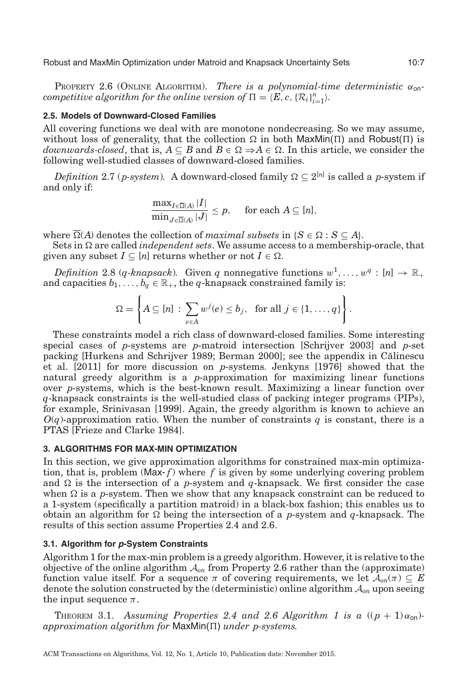Robust and MaxMin Optimization under Matroid and Knapsack Uncertainty Sets 10:7

<span id="page-6-3"></span>PROPERTY 2.6 (ONLINE ALGORITHM). *There is a polynomial-time deterministic*  $\alpha_{\text{on}}$ *competitive algorithm for the online version of*  $\Pi = \langle E, c, \{\mathcal{R}_i\}_{i=1}^n \rangle$ *.* 

## **2.5. Models of Downward-Closed Families**

All covering functions we deal with are monotone nondecreasing. So we may assume, without loss of generality, that the collection  $\Omega$  in both MaxMin( $\Pi$ ) and Robust( $\Pi$ ) is  $downwards-closed,$  that is,  $A \subseteq B$  and  $B \in \Omega \Rightarrow A \in \Omega$ . In this article, we consider the following well-studied classes of downward-closed families.

<span id="page-6-4"></span>*Definition* 2.7 (*p-system*). A downward-closed family  $\Omega \subseteq 2^{[n]}$  is called a *p-system* if and only if:

<span id="page-6-0"></span>
$$
\frac{\max_{I \in \overline{\Omega}(A)} |I|}{\min_{J \in \overline{\Omega}(A)} |J|} \leq p, \quad \text{ for each } A \subseteq [n],
$$

where  $\overline{\Omega}(A)$  denotes the collection of *maximal subsets* in {*S*  $\in \Omega$  : *S*  $\subseteq$  *A*}.

Sets in  $\Omega$  are called *independent sets*. We assume access to a membership-oracle, that given any subset  $I \subseteq [n]$  returns whether or not  $I \in \Omega$ .

<span id="page-6-5"></span>*Definition* 2.8 (*q-knapsack*). Given *q* nonnegative functions  $w^1, \ldots, w^q : [n] \to \mathbb{R}_+$ and capacities  $b_1, \ldots, b_q \in \mathbb{R}_+$ , the *q*-knapsack constrained family is:

$$
\Omega = \left\{ A \subseteq [n] : \sum_{e \in A} w^j(e) \le b_j, \text{ for all } j \in \{1, ..., q\} \right\}.
$$

These constraints model a rich class of downward-closed families. Some interesting special cases of *p*-systems are *p*-matroid intersection [Schrijver [2003\]](#page-20-9) and *p*-set packing [Hurkens and Schrijver [1989;](#page-19-9) Berman [2000\]](#page-19-7); see the appendix in Călinescu et al. [\[2011\]](#page-19-2) for more discussion on *p*-systems. Jenkyns [\[1976\]](#page-20-10) showed that the natural greedy algorithm is a *p*-approximation for maximizing linear functions over *p*-systems, which is the best-known result. Maximizing a linear function over *q*-knapsack constraints is the well-studied class of packing integer programs (PIPs), for example, Srinivasan [\[1999\]](#page-20-11). Again, the greedy algorithm is known to achieve an  $O(q)$ -approximation ratio. When the number of constraints *q* is constant, there is a PTAS [Frieze and Clarke [1984\]](#page-19-10).

# **3. ALGORITHMS FOR MAX-MIN OPTIMIZATION**

<span id="page-6-2"></span>In this section, we give approximation algorithms for constrained max-min optimization, that is, problem (Max- $f$ ) where  $f$  is given by some underlying covering problem and  $\Omega$  is the intersection of a *p*-system and *q*-knapsack. We first consider the case when  $\Omega$  is a *p*-system. Then we show that any knapsack constraint can be reduced to a 1-system (specifically a partition matroid) in a black-box fashion; this enables us to obtain an algorithm for  $\Omega$  being the intersection of a *p*-system and *q*-knapsack. The results of this section assume Properties [2.4](#page-5-0) and [2.6.](#page-6-3)

#### **3.1. Algorithm for p-System Constraints**

<span id="page-6-1"></span>Algorithm 1 for the max-min problem is a greedy algorithm. However, it is relative to the objective of the online algorithm  $A_{on}$  from Property [2.6](#page-6-3) rather than the (approximate) function value itself. For a sequence  $\pi$  of covering requirements, we let  $\mathcal{A}_{on}(\pi) \subseteq E$ denote the solution constructed by the (deterministic) online algorithm A*on* upon seeing the input sequence  $\pi$ .

<span id="page-6-6"></span>THEOREM 3.1. Assuming Properties [2.4](#page-5-0) and [2.6](#page-6-3) Algorithm 1 is a  $((p + 1)\alpha_{\text{on}})$ *approximation algorithm for* MaxMin(Π) *under p-systems.*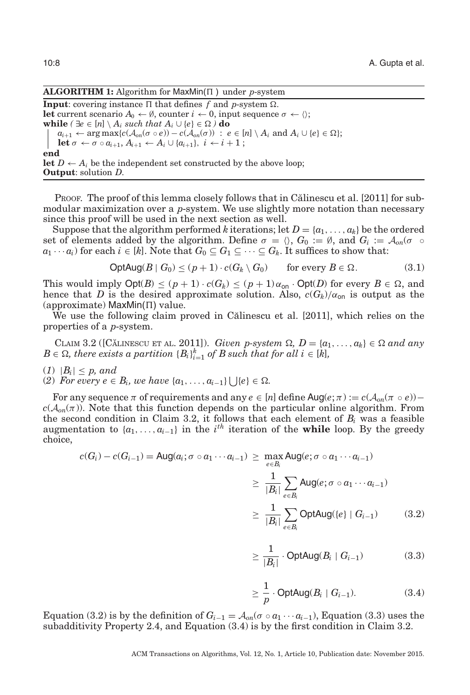## **ALGORITHM 1:** Algorithm for MaxMin( $\Pi$ ) under *p*-system

**Input**: covering instance  $\Pi$  that defines  $f$  and  $p$ -system  $\Omega$ . **let** current scenario  $A_0 \leftarrow \emptyset$ , counter  $i \leftarrow 0$ , input sequence  $\sigma \leftarrow \langle \rangle$ ; **while**  $(\exists e \in [n] \setminus A_i \text{ such that } A_i \cup \{e\} \in \Omega)$  **do**  $a_{i+1} \leftarrow \arg \max \{c(\mathcal{A}_{on}(\sigma \circ e)) - c(\mathcal{A}_{on}(\sigma)) \ : \ e \in [n] \setminus A_i \text{ and } A_i \cup \{e\} \in \Omega\};$ **let**  $\sigma \leftarrow \sigma \circ a_{i+1}, A_{i+1} \leftarrow A_i \cup \{a_{i+1}\}, i \leftarrow i+1;$ **end let**  $D \leftarrow A_i$  be the independent set constructed by the above loop; **Output**: solution *D*.

Proof. The proof of this lemma closely follows that in Călinescu et al. [\[2011\]](#page-19-2) for submodular maximization over a *p*-system. We use slightly more notation than necessary since this proof will be used in the next section as well.

Suppose that the algorithm performed *k* iterations; let  $D = \{a_1, \ldots, a_k\}$  be the ordered set of elements added by the algorithm. Define  $\sigma = \langle \rangle$ ,  $G_0 := \emptyset$ , and  $G_i := \mathcal{A}_{on}(\sigma \circ \gamma)$ *a*<sub>1</sub> ···*a<sub>i</sub>*) for each *i* ∈ [*k*]. Note that *G*<sup>0</sup> ⊆ *G*<sub>1</sub> ⊆ ··· ⊆ *G*<sub>*k*</sub>. It suffices to show that:

$$
\text{OptAug}(B \mid G_0) \le (p+1) \cdot c(G_k \setminus G_0) \qquad \text{for every } B \in \Omega. \tag{3.1}
$$

This would imply  $\text{Opt}(B) \le (p+1) \cdot c(G_k) \le (p+1) \alpha_{\text{on}} \cdot \text{Opt}(D)$  for every  $B \in \Omega$ , and hence that *D* is the desired approximate solution. Also,  $c(G_k)/\alpha_{\text{on}}$  is output as the  $(approximate)$  MaxMin( $\Pi$ ) value.

We use the following claim proved in Călinescu et al. [\[2011\]](#page-19-2), which relies on the properties of a *p*-system.

<span id="page-7-0"></span>CLAIM 3.2 ([CĂLINESCU ET AL. [2011\]](#page-19-2)). *Given p-system*  $\Omega$ ,  $D = \{a_1, \ldots, a_k\} \in \Omega$  and any  $B \in \Omega$ , there exists a partition  $\{B_i\}_{i=1}^k$  of  $B$  such that for all  $i \in [k]$ ,

- $(1)$   $|B_i| \leq p$ , and
- (2) *For every e* ∈ *B*<sub>*i*</sub>, *we have* {*a*<sub>1</sub>, ..., *a*<sub>*i*-1</sub>}  $\bigcup \{e\}$  ∈ Ω.

For any sequence  $\pi$  of requirements and any  $e \in [n]$  define Aug $(e; \pi) := c(\mathcal{A}_{on}(\pi \circ e))$  $c(A_{on}(\pi))$ . Note that this function depends on the particular online algorithm. From the second condition in Claim [3.2,](#page-7-0) it follows that each element of *Bi* was a feasible augmentation to  $\{a_1, \ldots, a_{i-1}\}$  in the *i*<sup>th</sup> iteration of the **while** loop. By the greedy choice,

$$
c(G_i) - c(G_{i-1}) = \text{Aug}(a_i; \sigma \circ a_1 \cdots a_{i-1}) \ge \max_{e \in B_i} \text{Aug}(e; \sigma \circ a_1 \cdots a_{i-1})
$$
  

$$
\ge \frac{1}{|B_i|} \sum_{e \in B_i} \text{Aug}(e; \sigma \circ a_1 \cdots a_{i-1})
$$
  

$$
\ge \frac{1}{|B_i|} \sum_{e \in B_i} \text{OptAug}(\{e\} \mid G_{i-1})
$$
 (3.2)

$$
\geq \frac{1}{|B_i|} \cdot \text{OptAug}(B_i \mid G_{i-1}) \tag{3.3}
$$

$$
\geq \frac{1}{p} \cdot \mathsf{OptAug}(B_i \mid G_{i-1}).\tag{3.4}
$$

Equation (3.2) is by the definition of  $G_{i-1} = \mathcal{A}_{on}(\sigma \circ a_1 \cdots a_{i-1})$ , Equation (3.3) uses the subadditivity Property [2.4,](#page-5-0) and Equation (3.4) is by the first condition in Claim [3.2.](#page-7-0)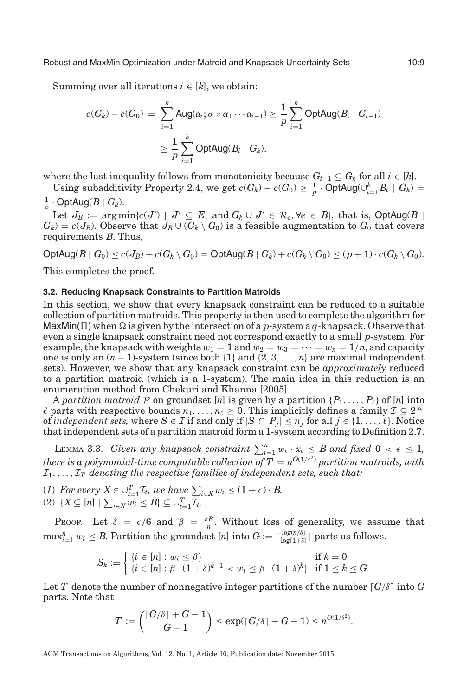Summing over all iterations  $i \in [k]$ , we obtain:

$$
c(G_k) - c(G_0) = \sum_{i=1}^k \text{Aug}(a_i; \sigma \circ a_1 \cdots a_{i-1}) \ge \frac{1}{p} \sum_{i=1}^k \text{OptAug}(B_i \mid G_{i-1})
$$
  

$$
\ge \frac{1}{p} \sum_{i=1}^k \text{OptAug}(B_i \mid G_k),
$$

where the last inequality follows from monotonicity because  $G_{i-1} \subseteq G_k$  for all  $i \in [k]$ .

Using subadditivity Property [2.4,](#page-5-0) we get  $c(G_k) - c(G_0) \geq \frac{1}{p} \cdot \text{OptAug}(\cup_{i=1}^k B_i \mid G_k) =$  $\frac{1}{p} \cdot \mathsf{OptAug}(B \mid G_k).$ 

Let  $J_B := \arg \min \{c(J') \mid J' \subseteq E, \text{ and } G_k \cup J' \in \mathcal{R}_e, \forall e \in B\}$ , that is,  $\text{OptAug}(B \mid A)$  $G_k$ ) =  $c(J_B)$ . Observe that  $J_B \cup (G_k \setminus G_0)$  is a feasible augmentation to  $G_0$  that covers requirements *B*. Thus,

 $\text{OptAug}(B \mid G_0) \leq c(J_B) + c(G_k \setminus G_0) = \text{OptAug}(B \mid G_k) + c(G_k \setminus G_0) \leq (p+1) \cdot c(G_k \setminus G_0).$ 

This completes the proof.  $\square$ 

#### **3.2. Reducing Knapsack Constraints to Partition Matroids**

<span id="page-8-0"></span>In this section, we show that every knapsack constraint can be reduced to a suitable collection of partition matroids. This property is then used to complete the algorithm for MaxMin(  $\Pi$  ) when  $\Omega$  is given by the intersection of a *p*-system a  $q$ -knapsack. Observe that even a single knapsack constraint need not correspond exactly to a small *p*-system. For example, the knapsack with weights  $w_1 = 1$  and  $w_2 = w_3 = \cdots = w_n = 1/n$ , and capacity one is only an (*n*− 1)-system (since both {1} and {2, 3,..., *n*} are maximal independent sets). However, we show that any knapsack constraint can be *approximately* reduced to a partition matroid (which is a 1-system). The main idea in this reduction is an enumeration method from Chekuri and Khanna [\[2005\]](#page-19-11).

A *partition matroid* P on groundset [n] is given by a partition  $\{P_1, \ldots, P_\ell\}$  of [n] into  $\ell$  parts with respective bounds  $n_1, \ldots, n_\ell \geq 0$ . This implicitly defines a family  $\mathcal{I} \subseteq 2^{[n]}$ of *independent sets,* where  $S \in \mathcal{I}$  if and only if  $|S \cap P_j| \le n_j$  for all  $j \in \{1, \ldots, \ell\}$ . Notice that independent sets of a partition matroid form a 1-system according to Definition [2.7.](#page-6-4)

<span id="page-8-1"></span>LEMMA 3.3. *Given any knapsack constraint*  $\sum_{i=1}^{n} w_i \cdot x_i \leq B$  and fixed  $0 < \epsilon \leq 1$ ,  $t$ here is a polynomial-time computable collection of  $T=n^{O(1/\epsilon^2)}$  partition matroids, with  $I_1, \ldots, I_T$  denoting the respective families of independent sets, such that:

- (*1*) For every  $X \in \bigcup_{t=1}^{T} \mathcal{I}_t$ , we have  $\sum_{i \in X} w_i \leq (1+\epsilon) \cdot B$ .
- $(2)$   $\{X \subseteq [n] \mid \sum_{i \in X} w_i \leq B\} \subseteq \bigcup_{t=1}^T \mathcal{I}_t.$

PROOF. Let  $\delta = \epsilon/6$  and  $\beta = \frac{\delta B}{n}$ . Without loss of generality, we assume that  $\max_{i=1}^n w_i \leq B$ . Partition the groundset  $[n]$  into  $G := \lceil \frac{\log(n/\delta)}{\log(1+\delta)} \rceil$  parts as follows.

$$
S_k := \begin{cases} \{i \in [n] : w_i \le \beta\} & \text{if } k = 0\\ \{i \in [n] : \beta \cdot (1 + \delta)^{k-1} < w_i \le \beta \cdot (1 + \delta)^k\} & \text{if } 1 \le k \le G \end{cases}
$$

Let *T* denote the number of nonnegative integer partitions of the number  $\lceil G/\delta \rceil$  into G parts. Note that

$$
T:=\binom{\lceil G/\delta \rceil+G-1}{G-1}\leq \exp(\lceil G/\delta \rceil+G-1)\leq n^{O(1/\delta^2)}.
$$

ACM Transactions on Algorithms, Vol. 12, No. 1, Article 10, Publication date: November 2015.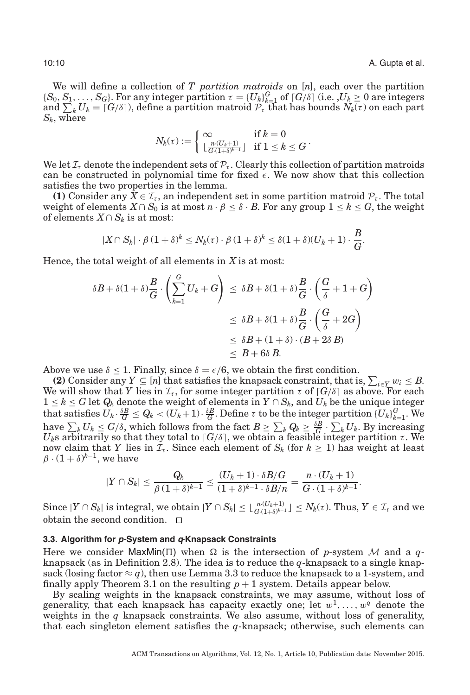We will define a collection of *T partition matroids* on [*n*], each over the partition  ${S_0, S_1, \ldots, S_G}$ . For any integer partition  $\tau = {U_k}_{k=1}^G$  of  $G/\delta$  (i.e.  $U_k \geq 0$  are integers and  $\sum_{k} U_k = [G/\delta]$ , define a partition matroid  $\mathcal{P}_{\tau}$  that has bounds  $N_k(\tau)$  on each part *Sk*, where

$$
N_k(\tau) := \left\{ \begin{matrix} \infty & \text{if } k = 0 \\ \lfloor \frac{n \cdot (U_k+1)}{G \cdot (1+\delta)^{k-1}} \rfloor & \text{if } 1 \leq k \leq G \end{matrix} \right. .
$$

We let  $\mathcal{I}_{\tau}$  denote the independent sets of  $\mathcal{P}_{\tau}$ . Clearly this collection of partition matroids can be constructed in polynomial time for fixed  $\epsilon$ . We now show that this collection satisfies the two properties in the lemma.

**(1)** Consider any  $X \in \mathcal{I}_{\tau}$ , an independent set in some partition matroid  $\mathcal{P}_{\tau}$ . The total weight of elements  $X \cap S_0$  is at most  $n \cdot \beta \leq \delta \cdot B$ . For any group  $1 \leq k \leq G$ , the weight of elements  $X ∩ S_k$  is at most:

$$
|X \cap S_k| \cdot \beta (1+\delta)^k \le N_k(\tau) \cdot \beta (1+\delta)^k \le \delta (1+\delta) (U_k+1) \cdot \frac{B}{G}.
$$

Hence, the total weight of all elements in *X* is at most:

$$
\delta B + \delta (1 + \delta) \frac{B}{G} \cdot \left( \sum_{k=1}^{G} U_k + G \right) \leq \delta B + \delta (1 + \delta) \frac{B}{G} \cdot \left( \frac{G}{\delta} + 1 + G \right)
$$
  

$$
\leq \delta B + \delta (1 + \delta) \frac{B}{G} \cdot \left( \frac{G}{\delta} + 2G \right)
$$
  

$$
\leq \delta B + (1 + \delta) \cdot (B + 2\delta B)
$$
  

$$
\leq B + 6\delta B.
$$

Above we use  $\delta \leq 1$ . Finally, since  $\delta = \epsilon/6$ , we obtain the first condition.

**(2)** Consider any  $Y \subseteq [n]$  that satisfies the knapsack constraint, that is,  $\sum_{i \in Y} w_i \leq B$ . We will show that *Y* lies in  $\mathcal{I}_{\tau}$ , for some integer partition  $\tau$  of  $G/\delta$  as above. For each  $1 \leq k \leq G$  let  $Q_k$  denote the weight of elements in  $Y \cap S_k$ , and  $U_k$  be the unique integer  $\text{that satisfies } U_k \cdot \frac{\delta B}{G} \leq Q_k < (U_k+1) \cdot \frac{\delta B}{G}. \text{ Define } \tau \text{ to be the integer partition } \{U_k\}_{k=1}^G. \text{ We}$ have  $\sum_k U_k \leq G/\delta$ , which follows from the fact  $B \geq \sum_k Q_k \geq \frac{\delta B}{G} \cdot \sum_k U_k$ . By increasing *U<sub>k</sub>s arbitrarily so that they total to*  $\lceil G / \delta \rceil$ *, we obtain a feasible integer partition τ. We* now claim that *Y* lies in  $I_t$ . Since each element of  $S_k$  (for  $k \geq 1$ ) has weight at least  $\beta$  ·  $(1+\delta)^{k-1}$ , we have

<span id="page-9-0"></span>
$$
|Y\cap S_k|\leq \frac{Q_k}{\beta\,(1+\delta)^{k-1}}\leq \frac{(U_k+1)\cdot \delta B/G}{(1+\delta)^{k-1}\cdot \delta B/n}=\frac{n\cdot (U_k+1)}{G\cdot (1+\delta)^{k-1}}.
$$

Since  $|Y \cap S_k|$  is integral, we obtain  $|Y \cap S_k| \leq \lfloor \frac{n \cdot (U_k+1)}{G \cdot (1+\delta)^{k-1}} \rfloor \leq N_k(\tau)$ . Thus,  $Y \in \mathcal{I}_{\tau}$  and we obtain the second condition.  $\Box$ 

#### **3.3. Algorithm for p-System and q-Knapsack Constraints**

Here we consider  $MaxMin(\Pi)$  when  $\Omega$  is the intersection of *p*-system M and a *q*knapsack (as in Definition [2.8\)](#page-6-5). The idea is to reduce the *q*-knapsack to a single knapsack (losing factor  $\approx q$ ), then use Lemma [3.3](#page-8-1) to reduce the knapsack to a 1-system, and finally apply Theorem [3.1](#page-6-6) on the resulting  $p + 1$  system. Details appear below.

By scaling weights in the knapsack constraints, we may assume, without loss of generality, that each knapsack has capacity exactly one; let  $w^1, \ldots, w^q$  denote the weights in the  $q$  knapsack constraints. We also assume, without loss of generality, that each singleton element satisfies the *q*-knapsack; otherwise, such elements can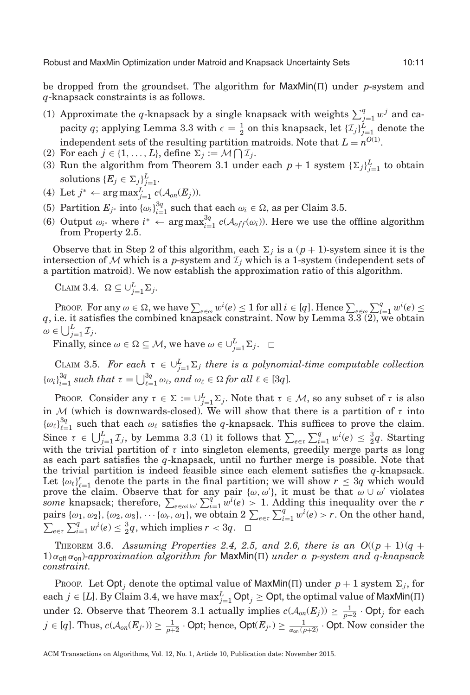be dropped from the groundset. The algorithm for  $\text{MaxMin}(\Pi)$  under *p*-system and *q*-knapsack constraints is as follows.

- (1) Approximate the *q*-knapsack by a single knapsack with weights  $\sum_{j=1}^{q} w^j$  and capacity *q*; applying Lemma [3.3](#page-8-1) with  $\epsilon = \frac{1}{2}$  on this knapsack, let  $\{I_j\}_{j=1}^L$  denote the independent sets of the resulting partition matroids. Note that  $L = n^{O(1)}$ .
- (2) For each  $j \in \{1, ..., L\}$ , define  $\Sigma_j := \mathcal{M} \bigcap \mathcal{I}_j$ .
- (3) Run the algorithm from Theorem [3.1](#page-6-6) under each  $p + 1$  system  ${\{\Sigma_j\}}_{j=1}^L$  to obtain solutions  $\{E_j \in \Sigma_j\}_{j=1}^L$ .
- (4) Let  $j^*$  ← arg max $^L_{j=1}$   $c(\mathcal{A}_{on}(E_j))$ .
- (5) Partition  $E_{j^*}$  into  $\{\omega_i\}_{i=1}^{3q}$  such that each  $\omega_i \in \Omega$ , as per Claim [3.5.](#page-10-0)
- (6) Output  $\omega_i$ <sup>∗</sup> where  $i^*$  ← arg max ${}^{3q}_{i=1}$  *c*( $\mathcal{A}_{off}(\omega_i)$ ). Here we use the offline algorithm from Property [2.5.](#page-5-1)

Observe that in Step 2 of this algorithm, each  $\Sigma_j$  is a  $(p+1)$ -system since it is the intersection of  $M$  which is a *p*-system and  $\mathcal{I}_j$  which is a 1-system (independent sets of a partition matroid). We now establish the approximation ratio of this algorithm.

<span id="page-10-1"></span>CLAIM 3.4.  $\Omega \subseteq \cup_{j=1}^{L} \Sigma_j$ .

PROOF. For any  $\omega \in \Omega$ , we have  $\sum_{e \in \omega} w^{i}(e) \leq 1$  for all  $i \in [q]$ . Hence  $\sum_{e \in \omega} \sum_{i=1}^{q} w^{i}(e) \leq$ *q*, i.e. it satisfies the combined knapsack constraint. Now by Lemma [3.3](#page-8-1) (2), we obtain  $\omega \in \bigcup_{j=1}^{L} \mathcal{I}_j.$ 

Finally, since  $\omega \in \Omega \subseteq M$ , we have  $\omega \in \cup_{j=1}^{L} \Sigma_j$ .

<span id="page-10-0"></span>CLAIM 3.5. For each  $\tau \in \bigcup_{j=1}^{L} \Sigma_j$  there is a polynomial-time computable collection  $\{\omega_i\}_{i=1}^{3q}$  such that  $\tau = \bigcup_{\ell=1}^{3q} \omega_\ell$ , and  $\omega_\ell \in \Omega$  for all  $\ell \in [3q]$ .

PROOF. Consider any  $\tau \in \Sigma := \cup_{j=1}^L \Sigma_j$ . Note that  $\tau \in \mathcal{M}$ , so any subset of  $\tau$  is also in M (which is downwards-closed). We will show that there is a partition of  $\tau$  into  $\{\omega_\ell\}_{\ell=1}^{3q}$  such that each  $\omega_\ell$  satisfies the *q*-knapsack. This suffices to prove the claim. Since  $\tau \in \bigcup_{j=1}^{L} \mathcal{I}_j$ , by Lemma [3.3](#page-8-1) (1) it follows that  $\sum_{e \in \tau} \sum_{i=1}^{q} w^i(e) \leq \frac{3}{2}q$ . Starting with the trivial partition of  $\tau$  into singleton elements, greedily merge parts as long as each part satisfies the *q*-knapsack, until no further merge is possible. Note that the trivial partition is indeed feasible since each element satisfies the *q*-knapsack. Let  $\{\omega_{\ell}\}_{\ell=1}^{r}$  denote the parts in the final partition; we will show  $r \leq 3q$  which would prove the claim. Observe that for any pair  $\{\omega,\omega'\}$ , it must be that  $\omega \cup \omega'$  violates *some* knapsack; therefore,  $\sum_{e \in \omega \cup \omega'} \sum_{i=1}^{q} w^i(e) > 1$ . Adding this inequality over the *r* pairs  $\{\omega_1, \omega_2\}, \{\omega_2, \omega_3\}, \cdots \{\omega_r, \omega_1\},$  we obtain  $2 \sum_{e \in \tau} \sum_{i=1}^q w^i(e) > r$ . On the other hand,  $\sum_{e \in \tau} \sum_{i=1}^{q} w^{i}(e) \leq \frac{3}{2}q$ , which implies  $r < 3q$ .

<span id="page-10-2"></span>**THEOREM** 3.6. Assuming Properties [2.4,](#page-5-0) [2.5,](#page-5-1) and [2.6,](#page-6-3) there is an  $O((p + 1)(q + 1))$ 1) αoff αon)*-approximation algorithm for* MaxMin() *under a p-system and q-knapsack constraint.*

Proof. Let Opt<sub>*i*</sub> denote the optimal value of MaxMin( $\Pi$ ) under  $p + 1$  system  $\Sigma_j$ , for each  $j \in [L]$ . By Claim [3.4,](#page-10-1) we have  $\max_{j=1}^L \mathsf{Opt}_j \geq \mathsf{Opt}$ , the optimal value of MaxMin( $\Pi$ ) under  $\Omega$ . Observe that Theorem [3.1](#page-6-6) actually implies  $c(\mathcal{A}_{on}(E_j)) \geq \frac{1}{p+2} \cdot \textsf{Opt}_j$  for each  $j \in [q].$  Thus,  $c(\mathcal{A}_{on}(E_{j^*})) \geq \frac{1}{p+2} \cdot \mathsf{Opt};$  hence,  $\mathsf{Opt}(E_{j^*}) \geq \frac{1}{\alpha_{on}(p+2)} \cdot \mathsf{Opt}.$  Now consider the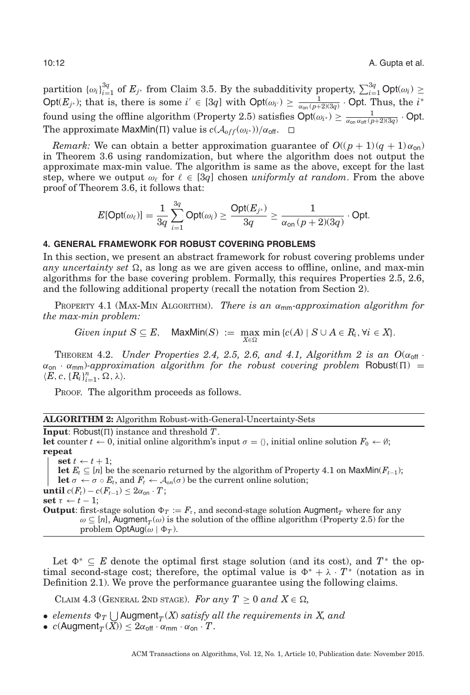partition  ${\{\omega_i\}}_{i=1}^{3q}$  of  $E_{j^*}$  from Claim [3.5.](#page-10-0) By the subadditivity property,  $\sum_{i=1}^{3q} \text{Opt}(\omega_i) \geq$  $\text{Opt}(E_{j^*})$ ; that is, there is some  $i' \in [3q]$  with  $\text{Opt}(\omega_{i'}) \ge \frac{1}{\alpha_{\text{on}}(p+2)(3q)} \cdot \text{Opt.}$  Thus, the  $i^*$ found using the offline algorithm (Property [2.5\)](#page-5-1) satisfies  $Opt(\omega_{i^*}) \ge \frac{1}{\alpha_{\text{on}}\alpha_{\text{off}}(p+2)(3q)}$ . Opt. The approximate MaxMin( $\Pi$ ) value is  $c(\mathcal{A}_{off}(\omega_{i^*}))/\alpha_{off}$ .  $\Box$ 

*Remark:* We can obtain a better approximation guarantee of  $O((p+1)(q+1)\alpha_{\text{on}})$ in Theorem [3.6](#page-10-2) using randomization, but where the algorithm does not output the approximate max-min value. The algorithm is same as the above, except for the last step, where we output  $\omega_{\ell}$  for  $\ell \in [3q]$  chosen *uniformly at random*. From the above proof of Theorem [3.6,](#page-10-2) it follows that:

<span id="page-11-0"></span>
$$
E[\mathsf{Opt}(\omega_\ell)] = \frac{1}{3q} \sum_{i=1}^{3q} \mathsf{Opt}(\omega_i) \geq \frac{\mathsf{Opt}(E_{j^*})}{3q} \geq \frac{1}{\alpha_{\mathsf{on}}\left(p+2\right)(3q)} \cdot \mathsf{Opt}.
$$

# **4. GENERAL FRAMEWORK FOR ROBUST COVERING PROBLEMS**

In this section, we present an abstract framework for robust covering problems under  $any$  *uncertainty set*  $\Omega$ , as long as we are given access to offline, online, and max-min algorithms for the base covering problem. Formally, this requires Properties [2.5,](#page-5-1) [2.6,](#page-6-3) and the following additional property (recall the notation from Section [2\)](#page-3-0).

<span id="page-11-1"></span>PROPERTY 4.1 (MAX-MIN ALGORITHM). *There is an* αmm*-approximation algorithm for the max-min problem:*

Given input 
$$
S \subseteq E
$$
, MaxMin(S) := max min {c(A) | S \cup A \in R<sub>i</sub>, \forall i \in X}.

<span id="page-11-3"></span>THEOREM 4.2. *Under Properties* [2.4,](#page-5-0) [2.5,](#page-5-1) [2.6,](#page-6-3) and [4.1,](#page-11-1) Algorithm 2 is an  $O(\alpha_{\text{off}}$ .  $\alpha_{\text{on}} \cdot \alpha_{\text{mm}}$ )-approximation algorithm for the robust covering problem Robust( $\Pi$ ) =  $\langle E, c, \{R_i\}_{i=1}^n, \Omega, \lambda \rangle.$ 

PROOF. The algorithm proceeds as follows.

|  |  |  | <b>ALGORITHM 2:</b> Algorithm Robust-with-General-Uncertainty-Sets |  |
|--|--|--|--------------------------------------------------------------------|--|
|--|--|--|--------------------------------------------------------------------|--|

**Input**: Robust $(\Pi)$  instance and threshold  $T$ . **let** counter  $t \leftarrow 0$ , initial online algorithm's input  $\sigma = \langle \rangle$ , initial online solution  $F_0 \leftarrow \emptyset$ ; **repeat**  $\textbf{set } t \leftarrow t + 1$ ;

**let**  $E_t$  ⊆ [*n*] be the scenario returned by the algorithm of Property 4.1 on MaxMin( $F_{t-1}$ ); **let**  $\sigma \leftarrow \sigma \circ E_t$ , and  $F_t \leftarrow A_{on}(\sigma)$  be the current online solution; **until**  $c(F_t) - c(F_{t-1}) \leq 2\alpha_{\text{on}} \cdot T$ ; **set**  $τ$  ←  $t$  − 1; **Output**: first-stage solution  $\Phi_T := F_\tau$ , and second-stage solution Augment<sub>*T*</sub> where for any  $\omega \subseteq [n]$ , Augment<sub>*T*</sub>( $\omega$ ) is the solution of the offline algorithm (Property 2.5) for the problem OptAug( $\omega | \Phi_T$ ).

Let  $\Phi^* \subseteq E$  denote the optimal first stage solution (and its cost), and  $T^*$  the optimal second-stage cost; therefore, the optimal value is  $\Phi^* + \lambda \cdot T^*$  (notation as in Definition [2.1\)](#page-4-1). We prove the performance guarantee using the following claims.

<span id="page-11-2"></span>CLAIM 4.3 (GENERAL 2ND STAGE). For any  $T \geq 0$  and  $X \in \Omega$ ,

- *elements*  $\Phi_T \bigcup$  Augment $_T(X)$  *satisfy all the requirements in X, and*
- $c(Augment_T(\bar{X})) \leq 2\alpha_{off} \cdot \alpha_{mm} \cdot \alpha_{on} \cdot T$ .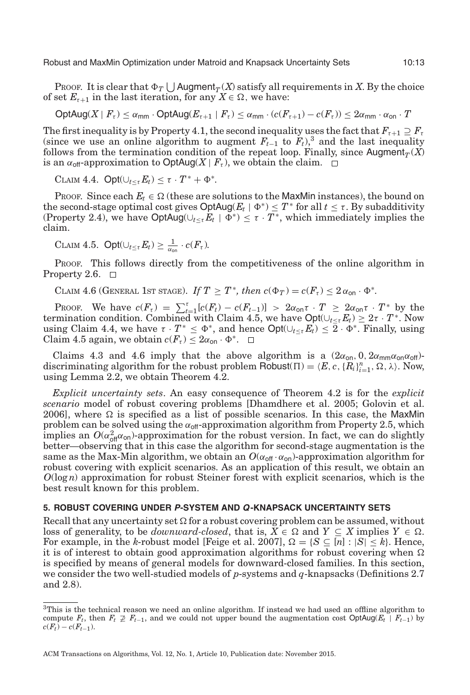Robust and MaxMin Optimization under Matroid and Knapsack Uncertainty Sets 10:13

Proof. It is clear that  $\Phi_T \bigcup$  Augment $_T(X)$  satisfy all requirements in  $X$ . By the choice of set  $E_{\tau+1}$  in the last iteration, for any  $X \in \Omega$ , we have:

$$
\mathsf{OptAug}(X \mid F_\tau) \le \alpha_{\mathsf{mm}} \cdot \mathsf{OptAug}(E_{\tau+1} \mid F_\tau) \le \alpha_{\mathsf{mm}} \cdot (c(F_{\tau+1}) - c(F_\tau)) \le 2 \alpha_{\mathsf{mm}} \cdot \alpha_{\mathsf{on}} \cdot T
$$

The first inequality is by Property [4.1,](#page-11-1) the second inequality uses the fact that  $F_{\tau+1} \supseteq F_{\tau}$ (since we use an online algorithm to augment  $F_{t-1}$  to  $F_t$ ),<sup>[3](#page-12-1)</sup> and the last inequality follows from the termination condition of the repeat loop. Finally, since  $\text{Augment}_T(X)$ is an  $\alpha_{\text{off}}$ -approximation to OptAug(*X* |  $F_\tau$ ), we obtain the claim.  $\Box$ 

<span id="page-12-3"></span>CLAIM 4.4.  $Opt(\cup_{t\leq \tau} E_t) \leq \tau \cdot T^* + \Phi^*$ .

Proof. Since each  $E_t \in \Omega$  (these are solutions to the MaxMin instances), the bound on the second-stage optimal cost gives  $\text{OptAug}(E_t \mid \Phi^*) \leq T^*$  for all  $t \leq \tau$ . By subadditivity (Property [2.4\)](#page-5-0), we have  $\text{OptAug}(\cup_{t\leq\tau} E_t | \Phi^*) \leq \tau \cdot T^*$ , which immediately implies the claim.

<span id="page-12-2"></span>
$$
\text{CLAIM 4.5. Opt}(\cup_{t \leq \tau} E_t) \geq \frac{1}{\alpha_{\text{on}}} \cdot c(F_{\tau}).
$$

PROOF. This follows directly from the competitiveness of the online algorithm in Property [2.6.](#page-6-3)  $\Box$ 

<span id="page-12-4"></span>CLAIM 4.6 (GENERAL 1ST STAGE). *If*  $T \geq T^*$ , then  $c(\Phi_T) = c(F_\tau) \leq 2\alpha_{\text{on}} \cdot \Phi^*$ .

PROOF. We have  $c(F_\tau) = \sum_{t=1}^\tau [c(F_t) - c(F_{t-1})] > 2\alpha_{\text{on}}\tau \cdot T \geq 2\alpha_{\text{on}}\tau \cdot T^*$  by the termination condition. Combined with Claim [4.5,](#page-12-2) we have  $Opt(\bigcup_{t \leq \tau} E_t) \geq 2\tau \cdot T^*$ . Now using Claim [4.4,](#page-12-3) we have  $\tau \cdot T^* \leq \Phi^*$ , and hence  $\text{Opt}(\cup_{t \leq \tau} E_t) \leq \overline{2} \cdot \Phi^*$ . Finally, using Claim [4.5](#page-12-2) again, we obtain  $c(F_\tau) \leq 2\alpha_{\text{on}} \cdot \Phi^*$ .  $\Box$ 

Claims [4.3](#page-11-2) and [4.6](#page-12-4) imply that the above algorithm is a  $(2\alpha_{\text{on}}, 0, 2\alpha_{\text{mm}}\alpha_{\text{on}}\alpha_{\text{off}})$ discriminating algorithm for the robust problem Robust( $\Pi$ ) =  $\langle E, c, \{R_i\}_{i=1}^n, \Omega, \lambda \rangle$ . Now, using Lemma [2.2,](#page-5-2) we obtain Theorem [4.2.](#page-11-3)

*Explicit uncertainty sets*. An easy consequence of Theorem [4.2](#page-11-3) is for the *explicit scenario* model of robust covering problems [Dhamdhere et al. [2005;](#page-19-5) Golovin et al. [2006\]](#page-19-6), where  $\Omega$  is specified as a list of possible scenarios. In this case, the MaxMin problem can be solved using the  $\alpha_{\text{off}}$ -approximation algorithm from Property [2.5,](#page-5-1) which implies an  $O(\alpha_{\text{off}}^2 \alpha_{\text{on}})$ -approximation for the robust version. In fact, we can do slightly better—observing that in this case the algorithm for second-stage augmentation is the same as the Max-Min algorithm, we obtain an  $O(\alpha_{\text{off}} \cdot \alpha_{\text{on}})$ -approximation algorithm for robust covering with explicit scenarios. As an application of this result, we obtain an *O*(log *n*) approximation for robust Steiner forest with explicit scenarios, which is the best result known for this problem.

## **5. ROBUST COVERING UNDER P-SYSTEM AND Q-KNAPSACK UNCERTAINTY SETS**

<span id="page-12-0"></span>Recall that any uncertainty set  $\Omega$  for a robust covering problem can be assumed, without loss of generality, to be *downward-closed*, that is,  $X \in \Omega$  and  $Y \subseteq X$  implies  $Y \in \Omega$ . For example, in the *k*-robust model [Feige et al. [2007\]](#page-19-4),  $\Omega = \{ S \subseteq [n] : |S| \le k \}$ . Hence, it is of interest to obtain good approximation algorithms for robust covering when  $\Omega$ is specified by means of general models for downward-closed families. In this section, we consider the two well-studied models of *p*-systems and *q*-knapsacks (Definitions [2.7](#page-6-4) and [2.8\)](#page-6-5).

<span id="page-12-1"></span><sup>3</sup>This is the technical reason we need an online algorithm. If instead we had used an offline algorithm to compute  $F_t$ , then  $F_t \not\supseteq F_{t-1}$ , and we could not upper bound the augmentation cost OptAug( $E_t$  |  $F_{t-1}$ ) by  $c(F_t) - c(F_{t-1}).$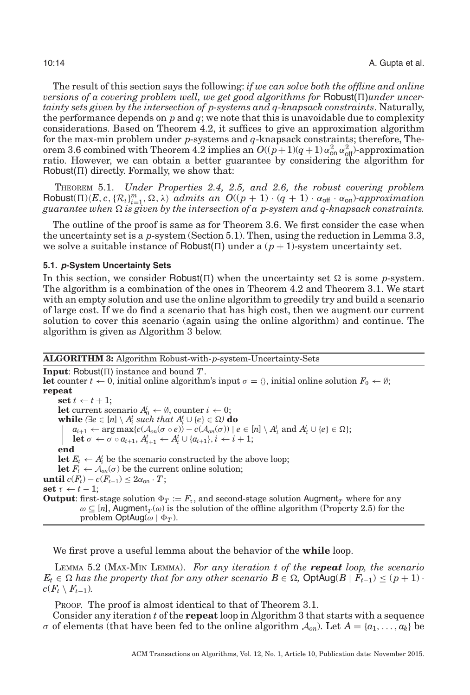The result of this section says the following: *if we can solve both the offline and online versions of a covering problem well, we get good algorithms for Robust*( $\Pi$ )*under uncertainty sets given by the intersection of p-systems and q-knapsack constraints*. Naturally, the performance depends on *p* and *q*; we note that this is unavoidable due to complexity considerations. Based on Theorem [4.2,](#page-11-3) it suffices to give an approximation algorithm for the max-min problem under *p*-systems and *q*-knapsack constraints; therefore, The-orem [3.6](#page-10-2) combined with Theorem [4.2](#page-11-3) implies an  $O((p+1)(q+1)\alpha_{\text{on}}^2 \alpha_{\text{off}}^2)$ -approximation ratio. However, we can obtain a better guarantee by considering the algorithm for Robust( $\Pi$ ) directly. Formally, we show that:

<span id="page-13-2"></span>THEOREM 5.1. *Under Properties [2.4,](#page-5-0) [2.5,](#page-5-1) and [2.6,](#page-6-3) the robust covering problem*  $\text{Robust}(\Pi)\langle E, c, \{R_i\}_{i=1}^m, \Omega, \lambda \rangle$  *admits an*  $O((p+1) \cdot (q+1) \cdot \alpha_{\text{off}} \cdot \alpha_{\text{on}})$ *-approximation*  $guarantee\ when\ \Omega\ is\ given\ by\ the\ intersection\ of\ a\ p\-system\ and\ q\-known\ n$ napsack constraints.

The outline of the proof is same as for Theorem [3.6.](#page-10-2) We first consider the case when the uncertainty set is a *p*-system (Section [5.1\)](#page-13-0). Then, using the reduction in Lemma [3.3,](#page-8-1) we solve a suitable instance of Robust( $\Pi$ ) under a ( $p + 1$ )-system uncertainty set.

#### **5.1. p-System Uncertainty Sets**

<span id="page-13-0"></span>In this section, we consider Robust( $\Pi$ ) when the uncertainty set  $\Omega$  is some *p*-system. The algorithm is a combination of the ones in Theorem [4.2](#page-11-3) and Theorem [3.1.](#page-6-6) We start with an empty solution and use the online algorithm to greedily try and build a scenario of large cost. If we do find a scenario that has high cost, then we augment our current solution to cover this scenario (again using the online algorithm) and continue. The algorithm is given as Algorithm 3 below.

#### **ALGORITHM 3:** Algorithm Robust-with-*p*-system-Uncertainty-Sets

<span id="page-13-3"></span>**Input:** Robust $(\Pi)$  instance and bound  $T$ . **let** counter  $t \leftarrow 0$ , initial online algorithm's input  $\sigma = \langle \rangle$ , initial online solution  $F_0 \leftarrow \emptyset$ ; **repeat**  $\textbf{set } t \leftarrow t + 1;$ **let** current scenario  $A_0^t \leftarrow \emptyset$ , counter  $i \leftarrow 0$ ; **while**  $(\exists e \in [n] \setminus A_i^t \text{ such that } A_i^t \cup \{e\} \in \Omega)$  **do**  $a_{i+1} \leftarrow \arg \max \{c(\mathcal{A}_{on}(\sigma \circ e)) - c(\mathcal{A}_{on}(\sigma)) \mid e \in [n] \setminus A_i^t \text{ and } A_i^t \cup \{e\} \in \Omega\};$  $\mathbf{let} \ \sigma \leftarrow \sigma \circ a_{i+1}, A_{i+1}^t \leftarrow A_i^t \cup \{a_{i+1}\}, i \leftarrow i+1;$ **end let**  $E_t \leftarrow A_i^t$  be the scenario constructed by the above loop; **let**  $F_t \leftarrow A_{on}(\sigma)$  be the current online solution; **until**  $c(F_t) - c(F_{t-1}) \leq 2\alpha_{\text{on}} \cdot T$ ; set  $\tau \leftarrow t - 1$ ; **Output**: first-stage solution  $\Phi_T := F_t$ , and second-stage solution Augment<sub>*T*</sub> where for any  $\omega \subseteq [n]$ , Augment<sub>*T*</sub>( $\omega$ ) is the solution of the offline algorithm (Property 2.5) for the problem  $\text{OptAug}(\omega | \Phi_T)$ .

We first prove a useful lemma about the behavior of the **while** loop.

<span id="page-13-1"></span>LEMMA 5.2 (MAX-MIN LEMMA). *For any iteration t of the repeat loop, the scenario*  $E_t \in \Omega$  has the property that for any other scenario  $B \in \Omega$ ,  $\mathsf{OptAug}(B \mid F_{t-1}) \leq (p+1) \cdot$  $c(F_t \setminus F_{t-1})$ .

PROOF. The proof is almost identical to that of Theorem [3.1.](#page-6-6)

Consider any iteration *t* of the **repeat** loop in Algorithm 3 that starts with a sequence  $\sigma$  of elements (that have been fed to the online algorithm  $\mathcal{A}_{on}$ ). Let  $A = \{a_1, \ldots, a_k\}$  be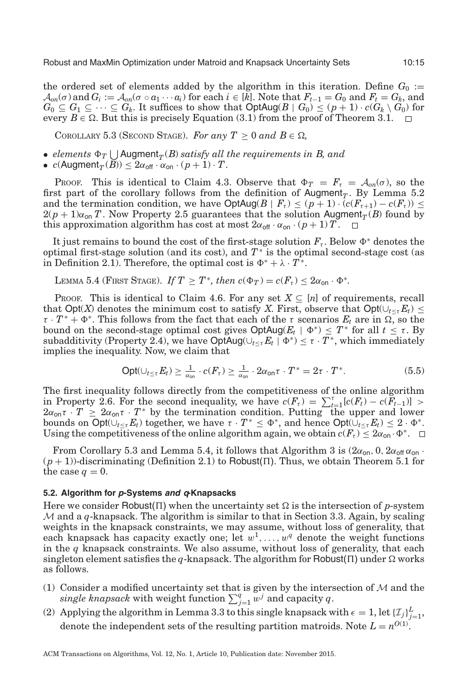the ordered set of elements added by the algorithm in this iteration. Define  $G_0 :=$  $\mathcal{A}_{on}(\sigma)$  and  $G_i := \mathcal{A}_{on}(\sigma \circ a_1 \cdots a_i)$  for each  $i \in [k]$ . Note that  $F_{t-1} = G_0$  and  $F_t = G_k$ , and *G*<sub>0</sub> ⊆ *G*<sub>1</sub> ⊆ ··· ⊆ *G*<sub>k</sub>. It suffices to show that OptAug(*B* | *G*<sub>0</sub>) ≤ (*p* + 1) · *c*(*G*<sub>k</sub> \ *G*<sub>0</sub>) for every  $B \in \Omega$ . But this is precisely Equation (3.1) from the proof of Theorem [3.1.](#page-6-6)

<span id="page-14-0"></span>COROLLARY 5.3 (SECOND STAGE). For any  $T \geq 0$  and  $B \in \Omega$ ,

- $elements \ \Phi_T \bigcup \text{Augment}_T(B) \ satisfy \ all \ the \ requirements \ in \ B, \ and$
- $c(Augment_T(B)) \leq 2\alpha_{off} \cdot \alpha_{on} \cdot (p+1) \cdot T$ .

Proof. This is identical to Claim [4.3.](#page-11-2) Observe that  $\Phi_T = F_t = \mathcal{A}_{on}(\sigma)$ , so the first part of the corollary follows from the definition of Augment<sub>*T*</sub>. By Lemma [5.2](#page-13-1) and the termination condition, we have  $\text{OptAug}(B \mid F_t) \leq (p+1) \cdot (c(F_{t+1}) - c(F_t)) \leq$  $2(p+1)\alpha_{\text{on}} T$ . Now Property [2.5](#page-5-1) guarantees that the solution Augment<sub>*T*</sub>(*B*) found by this approximation algorithm has cost at most  $2\alpha_{\text{off}} \cdot \alpha_{\text{on}} \cdot (p+1)T$ .

It just remains to bound the cost of the first-stage solution  $F_t$ . Below  $\Phi^*$  denotes the optimal first-stage solution (and its cost), and *T*<sup>∗</sup> is the optimal second-stage cost (as in Definition [2.1\)](#page-4-1). Therefore, the optimal cost is  $\Phi^* + \lambda \cdot T^*$ .

<span id="page-14-1"></span>LEMMA 5.4 (FIRST STAGE). *If*  $T \geq T^*$ , then  $c(\Phi_T) = c(F_\tau) \leq 2\alpha_{\text{on}} \cdot \Phi^*$ .

PROOF. This is identical to Claim [4.6.](#page-12-4) For any set  $X \subseteq [n]$  of requirements, recall that Opt(*X*) denotes the minimum cost to satisfy *X*. First, observe that Opt( $\cup_{t \leq \tau} E_t$ ) ≤  $\tau \cdot T^* + \Phi^*$ . This follows from the fact that each of the  $\tau$  scenarios  $E_t$  are in  $\Omega$ , so the bound on the second-stage optimal cost gives  $\text{OptAug}(E_t \mid \Phi^*) \leq T^*$  for all  $t \leq \tau$ . By subadditivity (Property [2.4\)](#page-5-0), we have  $\text{OptAug}(\bigcup_{t \leq \tau} E_t \mid \Phi^*) \leq \tau \cdot T^*$ , which immediately implies the inequality. Now, we claim that

$$
\text{Opt}(\cup_{t \le \tau} E_t) \ge \frac{1}{\alpha_{\text{on}}} \cdot c(F_{\tau}) \ge \frac{1}{\alpha_{\text{on}}} \cdot 2\alpha_{\text{on}} \tau \cdot T^* = 2\tau \cdot T^*.
$$
\n(5.5)

The first inequality follows directly from the competitiveness of the online algorithm in Property [2.6.](#page-6-3) For the second inequality, we have  $c(F_{\tau}) = \sum_{t=1}^{\tau} [c(F_t) - c(F_{t-1})] >$  $2\alpha_{\text{on}}\tau \cdot T \geq 2\alpha_{\text{on}}\tau \cdot T^*$  by the termination condition. Putting the upper and lower bounds on  $\text{Opt}(\bigcup_{t \leq \tau} E_t)$  together, we have  $\tau \cdot T^* \leq \Phi^*$ , and hence  $\text{Opt}(\bigcup_{t \leq \tau} E_t) \leq 2 \cdot \Phi^*$ . Using the competitiveness of the online algorithm again, we obtain  $c(F_t) \leq 2\alpha_{\text{on}} \cdot \Phi^*$ .

From Corollary [5.3](#page-14-0) and Lemma [5.4,](#page-14-1) it follows that Algorithm 3 is  $(2\alpha_{\text{on}}$ , 0,  $2\alpha_{\text{off}} \alpha_{\text{on}}$ .  $(p+1)$ -discriminating (Definition [2.1\)](#page-4-1) to Robust( $\Pi$ ). Thus, we obtain Theorem [5.1](#page-13-2) for the case  $q=0$ .

#### **5.2. Algorithm for p-Systems and q-Knapsacks**

Here we consider Robust( $\Pi$ ) when the uncertainty set  $\Omega$  is the intersection of *p*-system  $M$  and a  $q$ -knapsack. The algorithm is similar to that in Section [3.3.](#page-9-0) Again, by scaling weights in the knapsack constraints, we may assume, without loss of generality, that each knapsack has capacity exactly one; let  $w^1, \ldots, w^q$  denote the weight functions in the  $q$  knapsack constraints. We also assume, without loss of generality, that each singleton element satisfies the  $q$ -knapsack. The algorithm for <code>Robust( $\Pi$ )</code> under  $\Omega$  works as follows.

- (1) Consider a modified uncertainty set that is given by the intersection of  $M$  and the *single knapsack* with weight function  $\sum_{j=1}^{q} w^{j}$  and capacity *q*.
- (2) Applying the algorithm in Lemma [3.3](#page-8-1) to this single knapsack with  $\epsilon = 1$ , let  $\{\mathcal{I}_j\}_{j=1}^L$ , denote the independent sets of the resulting partition matroids. Note  $L = n^{O(1)}$ .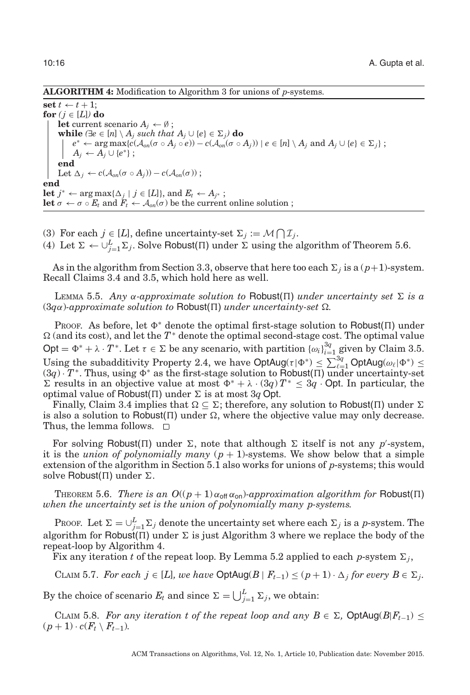#### **ALGORITHM 4:** Modification to Algorithm [3](#page-13-3) for unions of *p*-systems.

 $\textbf{set } t \leftarrow t + 1;$ **for**  $(j \in [L])$  **do let** current scenario  $A_j \leftarrow \emptyset$ ; **while**  $(\exists e \in [n] \setminus A_j \text{ such that } A_j \cup \{e\} \in \Sigma_j)$  **do**  $e^* \leftarrow \arg \max \{c(\mathcal{A}_{on}(\sigma \circ A_j \circ e)) - c(\mathcal{A}_{on}(\sigma \circ A_j)) \mid e \in [n] \setminus A_j \text{ and } A_j \cup \{e\} \in \Sigma_j\};$  $A_j \leftarrow A_j \cup \{e^*\};$ **end** Let  $\Delta_j \leftarrow c(\mathcal{A}_{on}(\sigma \circ A_j)) - c(\mathcal{A}_{on}(\sigma));$ **end let** *j*<sup>∗</sup> ← arg max{ $\Delta_j$  | *j* ∈ [*L*]}, and  $E_t$  ←  $A_{j^*}$ ; **let**  $\sigma \leftarrow \sigma \circ E_t$  and  $F_t \leftarrow A_{on}(\sigma)$  be the current online solution ;

- (3) For each  $j \in [L]$ , define uncertainty-set  $\Sigma_j := \mathcal{M} \bigcap \mathcal{I}_j$ .
- (4) Let  $\Sigma \leftarrow \bigcup_{j=1}^{L} \Sigma_j$ . Solve Robust( $\Pi$ ) under  $\Sigma$  using the algorithm of Theorem [5.6.](#page-15-0)

As in the algorithm from Section [3.3,](#page-9-0) observe that here too each  $\Sigma_j$  is a ( $p+1$ )-system. Recall Claims [3.4](#page-10-1) and [3.5,](#page-10-0) which hold here as well.

<span id="page-15-1"></span>LEMMA 5.5. Any  $\alpha$ -approximate solution to Robust( $\Pi$ ) under uncertainty set  $\Sigma$  is a  $(3q\alpha)$ -approximate solution to Robust( $\Pi$ ) under uncertainty-set  $\Omega$ .

PROOF. As before, let  $\Phi^*$  denote the optimal first-stage solution to Robust( $\Pi$ ) under  $Ω$  (and its cost), and let the  $T^*$  denote the optimal second-stage cost. The optimal value Opt =  $\Phi^* + \lambda \cdot T^*$ . Let  $\tau \in \Sigma$  be any scenario, with partition  $\{\omega_i\}_{i=1}^{3q}$  given by Claim [3.5.](#page-10-0) Using the subadditivity Property [2.4,](#page-5-0) we have  $\text{OptAug}(\tau | \Phi^*) \leq \sum_{\ell=1}^{3q} \text{OptAug}(\omega_{\ell} | \Phi^*) \leq$  $(3q) \cdot T^*$ . Thus, using  $\Phi^*$  as the first-stage solution to Robust( $\Pi$ ) under uncertainty-set Σ results in an objective value at most  $Φ^* + λ ⋅ (3q) T^* ≤ 3q ⋅$  Opt. In particular, the optimal value of Robust( $\Pi$ ) under  $\Sigma$  is at most 3*q* Opt.

Finally, Claim [3.4](#page-10-1) implies that  $\Omega \subseteq \Sigma$ ; therefore, any solution to Robust( $\Pi$ ) under  $\Sigma$ is also a solution to Robust( $\Pi$ ) under  $\Omega$ , where the objective value may only decrease. Thus, the lemma follows.  $\square$ 

For solving Robust( $\Pi$ ) under  $\Sigma$ , note that although  $\Sigma$  itself is not any *p*'-system, it is the *union of polynomially many*  $(p + 1)$ -systems. We show below that a simple extension of the algorithm in Section [5.1](#page-13-0) also works for unions of *p*-systems; this would solve Robust( $\Pi$ ) under  $\Sigma$ .

<span id="page-15-0"></span>THEOREM 5.6. *There is an*  $O((p + 1) \alpha_{\text{off}} \alpha_{\text{on}})$ -approximation algorithm for Robust( $\Pi$ ) *when the uncertainty set is the union of polynomially many p-systems.*

PROOF. Let  $\Sigma = \bigcup_{j=1}^{L} \Sigma_j$  denote the uncertainty set where each  $\Sigma_j$  is a *p*-system. The algorithm for Robust( $\Pi$ ) under  $\Sigma$  is just Algorithm 3 where we replace the body of the repeat-loop by Algorithm 4.

Fix any iteration *t* of the repeat loop. By Lemma [5.2](#page-13-1) applied to each *p*-system  $\Sigma_i$ ,

CLAIM 5.7. *For each j* ∈ [*L*]*, we have*  $\text{OptAug}(B \mid F_{t-1}) \leq (p+1) \cdot \Delta_j$  *for every*  $B \in \Sigma_j$ .

By the choice of scenario  $E_t$  and since  $\Sigma = \bigcup_{j=1}^L \Sigma_j$ , we obtain:

CLAIM 5.8. For any iteration t of the repeat loop and any  $B \in \Sigma$ , OptAug( $B|F_{t-1}$ )  $\leq$  $(p + 1) \cdot c(F_t \setminus F_{t-1})$ *.*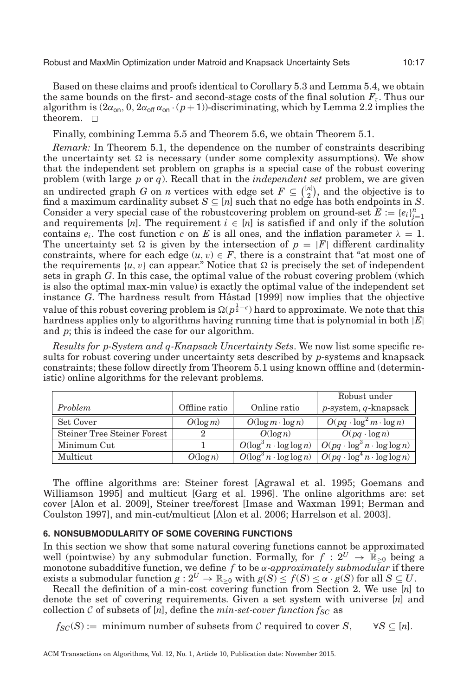Based on these claims and proofs identical to Corollary [5.3](#page-14-0) and Lemma [5.4,](#page-14-1) we obtain the same bounds on the first- and second-stage costs of the final solution  $F_{\tau}$ . Thus our algorithm is  $(2\alpha_{\text{on}}, 0, 2\alpha_{\text{off}}\alpha_{\text{on}}\cdot (p+1))$ -discriminating, which by Lemma [2.2](#page-5-2) implies the theorem. □

Finally, combining Lemma [5.5](#page-15-1) and Theorem [5.6,](#page-15-0) we obtain Theorem [5.1.](#page-13-2)

*Remark:* In Theorem [5.1,](#page-13-2) the dependence on the number of constraints describing the uncertainty set  $\Omega$  is necessary (under some complexity assumptions). We show that the independent set problem on graphs is a special case of the robust covering problem (with large *p* or *q*). Recall that in the *independent set* problem, we are given an undirected graph *G* on *n* vertices with edge set  $F \subseteq \binom{[n]}{2}$  $\binom{n}{2}$ , and the objective is to find a maximum cardinality subset  $S \subseteq [n]$  such that no edge has both endpoints in *S*. Consider a very special case of the robustcovering problem on ground-set  $E := \{e_i\}_{i=1}^n$ and requirements [*n*]. The requirement  $i \in [n]$  is satisfied if and only if the solution contains  $e_i$ . The cost function *c* on *E* is all ones, and the inflation parameter  $\lambda = 1$ . The uncertainty set  $\Omega$  is given by the intersection of  $p = |F|$  different cardinality constraints, where for each edge  $(u, v) \in F$ , there is a constraint that "at most one of the requirements  $\{u, v\}$  can appear." Notice that  $\Omega$  is precisely the set of independent sets in graph *G*. In this case, the optimal value of the robust covering problem (which is also the optimal max-min value) is exactly the optimal value of the independent set instance *G*. The hardness result from Håstad  $[1999]$  now implies that the objective value of this robust covering problem is  $\Omega(p^{\frac{1}{2}-\epsilon})$  hard to approximate. We note that this hardness applies only to algorithms having running time that is polynomial in both |*E*| and *p*; this is indeed the case for our algorithm.

*Results for p-System and q-Knapsack Uncertainty Sets*. We now list some specific results for robust covering under uncertainty sets described by *p*-systems and knapsack constraints; these follow directly from Theorem [5.1](#page-13-2) using known offline and (deterministic) online algorithms for the relevant problems.

|                                    |               |                                            | Robust under                                   |
|------------------------------------|---------------|--------------------------------------------|------------------------------------------------|
| Problem                            | Offline ratio | Online ratio                               | $p$ -system, $q$ -knapsack                     |
| Set Cover                          | $O(\log m)$   | $O(\log m \cdot \log n)$                   | $O(pq \cdot \log^2 m \cdot \log n)$            |
| <b>Steiner Tree Steiner Forest</b> |               | $O(\log n)$                                | $O(pq \cdot \log n)$                           |
| Minimum Cut                        |               | $O(\log^3 n \cdot \log \log n)$            | $O(pq \cdot \log^3 n \cdot \log \log n)$       |
| Multicut                           | $O(\log n)$   | $\overline{O(\log^3 n \cdot \log \log n)}$ | $\big  O(pq \cdot \log^4 n \cdot \log \log n)$ |

The offline algorithms are: Steiner forest [Agrawal et al. [1995;](#page-19-13) Goemans and Williamson [1995\]](#page-19-14) and multicut [Garg et al. [1996\]](#page-19-15). The online algorithms are: set cover [Alon et al. [2009\]](#page-19-16), Steiner tree/forest [Imase and Waxman [1991;](#page-20-12) Berman and Coulston [1997\]](#page-19-17), and min-cut/multicut [Alon et al. [2006;](#page-19-18) Harrelson et al. [2003\]](#page-19-19).

# <span id="page-16-0"></span>**6. NONSUBMODULARITY OF SOME COVERING FUNCTIONS**

In this section we show that some natural covering functions cannot be approximated well (pointwise) by any submodular function. Formally, for  $f: 2^U \rightarrow \mathbb{R}_{>0}$  being a monotone subadditive function, we define *f* to be α*-approximately submodular* if there  $\text{exists a submodular function } g: 2^U \to \mathbb{R}_{\geq 0} \text{ with } g(S) \leq f(S) \leq \alpha \cdot g(S) \text{ for all } S \subseteq U.$ 

Recall the definition of a min-cost covering function from Section [2.](#page-3-0) We use [*n*] to denote the set of covering requirements. Given a set system with universe [*n*] and collection  $C$  of subsets of  $[n]$ , define the *min-set-cover function*  $f_{SC}$  as

 $f_{SC}(S) :=$  minimum number of subsets from C required to cover *S*,  $\forall S \subseteq [n]$ .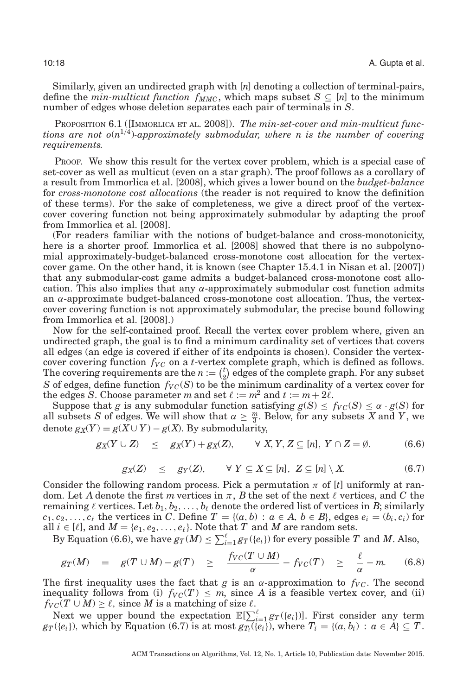Similarly, given an undirected graph with [*n*] denoting a collection of terminal-pairs, define the *min-multicut function*  $f_{MMC}$ , which maps subset  $S \subseteq [n]$  to the minimum number of edges whose deletion separates each pair of terminals in *S*.

PROPOSITION 6.1 ([IMMORLICA ET AL. [2008\]](#page-20-13)). *The min-set-cover and min-multicut functions are not*  $o(n^{1/4})$ *-approximately submodular, where n is the number of covering requirements.*

PROOF. We show this result for the vertex cover problem, which is a special case of set-cover as well as multicut (even on a star graph). The proof follows as a corollary of a result from Immorlica et al. [\[2008\]](#page-20-13), which gives a lower bound on the *budget-balance* for *cross-monotone cost allocations* (the reader is not required to know the definition of these terms). For the sake of completeness, we give a direct proof of the vertexcover covering function not being approximately submodular by adapting the proof from Immorlica et al. [\[2008\]](#page-20-13).

(For readers familiar with the notions of budget-balance and cross-monotonicity, here is a shorter proof. Immorlica et al. [\[2008\]](#page-20-13) showed that there is no subpolynomial approximately-budget-balanced cross-monotone cost allocation for the vertexcover game. On the other hand, it is known (see Chapter 15.4.1 in Nisan et al. [\[2007\]](#page-20-14)) that any submodular-cost game admits a budget-balanced cross-monotone cost allocation. This also implies that any  $\alpha$ -approximately submodular cost function admits an  $\alpha$ -approximate budget-balanced cross-monotone cost allocation. Thus, the vertexcover covering function is not approximately submodular, the precise bound following from Immorlica et al. [\[2008\]](#page-20-13).)

Now for the self-contained proof. Recall the vertex cover problem where, given an undirected graph, the goal is to find a minimum cardinality set of vertices that covers all edges (an edge is covered if either of its endpoints is chosen). Consider the vertexcover covering function  $f_{VC}$  on a *t*-vertex complete graph, which is defined as follows. The covering requirements are the  $n := \binom{t}{2}$  $\mathbf{z}_2^t$ ) edges of the complete graph. For any subset *S* of edges, define function  $f_{VC}(S)$  to be the minimum cardinality of a vertex cover for the edges *S*. Choose parameter *m* and set  $\ell := m^2$  and  $t := m + 2\ell$ .

Suppose that *g* is any submodular function satisfying  $g(S) \leq f_{VC}(S) \leq \alpha \cdot g(S)$  for all subsets *S* of edges. We will show that  $\alpha \geq \frac{m}{3}$ . Below, for any subsets *X* and *Y*, we denote  $g_X(Y) = g(X \cup Y) - g(X)$ . By submodularity,

$$
g_X(Y \cup Z) \leq g_X(Y) + g_X(Z), \qquad \forall \ X, Y, Z \subseteq [n], \ Y \cap Z = \emptyset. \tag{6.6}
$$

$$
g_X(Z) \leq g_Y(Z), \qquad \forall \ Y \subseteq X \subseteq [n], \ Z \subseteq [n] \setminus X. \tag{6.7}
$$

Consider the following random process. Pick a permutation  $\pi$  of  $[t]$  uniformly at random. Let A denote the first m vertices in  $\pi$ , B the set of the next  $\ell$  vertices, and C the remaining  $\ell$  vertices. Let  $b_1, b_2, \ldots, b_\ell$  denote the ordered list of vertices in  $B$ ; similarly  $c_1, c_2, \ldots, c_\ell$  the vertices in *C*. Define  $T = \{(a, b) : a \in A, b \in B\}$ , edges  $e_i = (b_i, c_i)$  for all  $i \in [\ell]$ , and  $M = \{e_1, e_2, \ldots, e_\ell\}$ . Note that  $T$  and  $M$  are random sets.

By Equation (6.6), we have  $g_T(M) \leq \sum_{i=1}^{\ell} g_T(\{e_i\})$  for every possible  $T$  and  $M$ . Also,

$$
g_T(M) = g(T \cup M) - g(T) \ge \frac{f_{VC}(T \cup M)}{\alpha} - f_{VC}(T) \ge \frac{\ell}{\alpha} - m. \tag{6.8}
$$

The first inequality uses the fact that *g* is an  $\alpha$ -approximation to  $f_{VC}$ . The second inequality follows from (i)  $f_{VC}(T) \leq m$ , since A is a feasible vertex cover, and (ii)  $f_{VC}(T \cup M) \ge \ell$ , since *M* is a matching of size  $\ell$ .

Next we upper bound the expectation  $\mathbb{E}[\sum_{i=1}^{\ell} g_T(\{e_i\})]$ . First consider any term  $gr(G_i)$ , which by Equation (6.7) is at most  $gr_i(G_i)$ , where  $T_i = \{(a, b_i) : a \in A\} \subseteq T$ .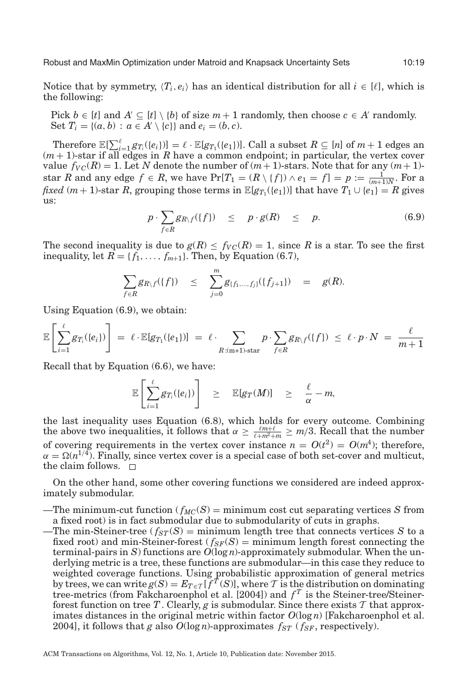Robust and MaxMin Optimization under Matroid and Knapsack Uncertainty Sets 10:19

Notice that by symmetry,  $\langle T_i, e_i \rangle$  has an identical distribution for all  $i \in [\ell]$ , which is the following:

Pick *b* ∈ [*t*] and *A*'  $\subseteq$  [*t*] \ {*b*} of size *m* + 1 randomly, then choose *c* ∈ *A'* randomly. Set  $T_i = \{(a, b) : a \in A' \setminus \{c\}\}\$ and  $e_i = (b, c)$ .

Therefore  $\mathbb{E}[\sum_{i=1}^{\ell} g_{T_i}(\{e_i\})] = \ell \cdot \mathbb{E}[g_{T_1}(\{e_1\})]$ . Call a subset  $R \subseteq [n]$  of  $m+1$  edges an  $(m+1)$ -star if all edges in *R* have a common endpoint; in particular, the vertex cover value  $f_{VC}(R) = 1$ . Let N denote the number of  $(m + 1)$ -stars. Note that for any  $(m + 1)$ star *R* and any edge  $f \in R$ , we have  $\Pr[T_1 = (R \setminus \{f\}) \wedge e_1 = f] = p := \frac{1}{(m+1)N}$ . For a *fixed* (*m* + 1)-star *R*, grouping those terms in  $\mathbb{E}[g_{T_1}(\{e_1\})]$  that have  $T_1 \cup \{e_1\} = R$  gives us:

$$
p \cdot \sum_{f \in R} g_{R \setminus f}(\{f\}) \leq p \cdot g(R) \leq p. \tag{6.9}
$$

The second inequality is due to  $g(R) \leq f_{VC}(R) = 1$ , since R is a star. To see the first inequality, let  $R = \{f_1, \ldots, f_{m+1}\}\)$ . Then, by Equation (6.7),

$$
\sum_{f \in R} g_{R \setminus f}(\{f\}) \leq \sum_{j=0}^m g_{\{f_1, \dots, f_j\}}(\{f_{j+1}\}) = g(R).
$$

Using Equation (6.9), we obtain:

$$
\mathbb{E}\left[\sum_{i=1}^{\ell} g_{T_i}(\{e_i\})\right] = \ell \cdot \mathbb{E}[g_{T_1}(\{e_1\})] = \ell \cdot \sum_{R: (m+1) \text{-star}} p \cdot \sum_{f \in R} g_{R \setminus f}(\{f\}) \leq \ell \cdot p \cdot N = \frac{\ell}{m+1}
$$

Recall that by Equation (6.6), we have:

$$
\mathbb{E}\left[\sum_{i=1}^{\ell} g_{T_i}(\{e_i\})\right] \geq \mathbb{E}[g_T(M)] \geq \frac{\ell}{\alpha}-m,
$$

the last inequality uses Equation (6.8), which holds for every outcome. Combining the above two inequalities, it follows that  $\alpha \geq \frac{\ell m + \ell}{\ell + m^2 + m} \geq m/3$ . Recall that the number of covering requirements in the vertex cover instance  $n = O(t^2) = O(m^4)$ ; therefore,  $\alpha = \Omega(n^{1/4})$ . Finally, since vertex cover is a special case of both set-cover and multicut, the claim follows.  $\Box$ 

On the other hand, some other covering functions we considered are indeed approximately submodular.

- —The minimum-cut function ( $f_{MC}(S)$ ) = minimum cost cut separating vertices *S* from a fixed root) is in fact submodular due to submodularity of cuts in graphs.
- —The min-Steiner-tree ( $f_{ST}(S)$ ) = minimum length tree that connects vertices *S* to a fixed root) and min-Steiner-forest ( $f_{SF}(S)$  = minimum length forest connecting the terminal-pairs in *S*) functions are  $O(\log n)$ -approximately submodular. When the underlying metric is a tree, these functions are submodular—in this case they reduce to weighted coverage functions. Using probabilistic approximation of general metrics by trees, we can write  $g(S) = E_{T \in \mathcal{T}}[f^T(S)]$ , where T is the distribution on dominating tree-metrics (from Fakcharoenphol et al.  $[2004]$ ) and  $f<sup>T</sup>$  is the Steiner-tree/Steinerforest function on tree T. Clearly,  $g$  is submodular. Since there exists  $T$  that approximates distances in the original metric within factor  $O(\log n)$  [Fakcharoenphol et al. [2004\]](#page-19-20), it follows that *g* also  $O(\log n)$ -approximates  $f_{ST}$  ( $f_{SF}$ , respectively).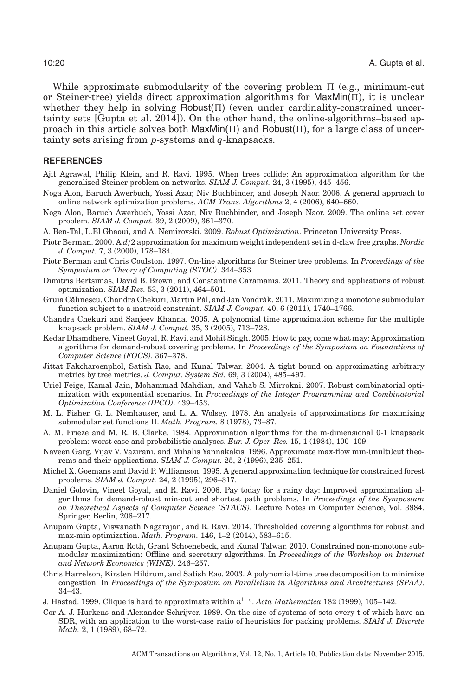While approximate submodularity of the covering problem  $\Pi$  (e.g., minimum-cut or Steiner-tree) yields direct approximation algorithms for  $\text{MaxMin}(\Pi)$ , it is unclear whether they help in solving  $Robust(\Pi)$  (even under cardinality-constrained uncertainty sets [Gupta et al. [2014\]](#page-19-0)). On the other hand, the online-algorithms–based approach in this article solves both  $\text{MaxMin}(\Pi)$  and  $\text{Robust}(\Pi)$ , for a large class of uncertainty sets arising from *p*-systems and *q*-knapsacks.

# **REFERENCES**

- <span id="page-19-13"></span>Ajit Agrawal, Philip Klein, and R. Ravi. 1995. When trees collide: An approximation algorithm for the generalized Steiner problem on networks. *SIAM J. Comput.* 24, 3 (1995), 445–456.
- <span id="page-19-18"></span>Noga Alon, Baruch Awerbuch, Yossi Azar, Niv Buchbinder, and Joseph Naor. 2006. A general approach to online network optimization problems. *ACM Trans. Algorithms* 2, 4 (2006), 640–660.
- <span id="page-19-16"></span>Noga Alon, Baruch Awerbuch, Yossi Azar, Niv Buchbinder, and Joseph Naor. 2009. The online set cover problem. *SIAM J. Comput.* 39, 2 (2009), 361–370.
- <span id="page-19-7"></span>A. Ben-Tal, L.El Ghaoui, and A. Nemirovski. 2009. *Robust Optimization*. Princeton University Press.
- Piotr Berman. 2000. A *d*/2 approximation for maximum weight independent set in d-claw free graphs. *Nordic J. Comput.* 7, 3 (2000), 178–184.
- <span id="page-19-17"></span>Piotr Berman and Chris Coulston. 1997. On-line algorithms for Steiner tree problems. In *Proceedings of the Symposium on Theory of Computing (STOC)*. 344–353.
- <span id="page-19-8"></span>Dimitris Bertsimas, David B. Brown, and Constantine Caramanis. 2011. Theory and applications of robust optimization. *SIAM Rev.* 53, 3 (2011), 464–501.
- <span id="page-19-2"></span>Gruia Călinescu, Chandra Chekuri, Martin Pál, and Jan Vondrák. 2011. Maximizing a monotone submodular function subject to a matroid constraint. *SIAM J. Comput.* 40, 6 (2011), 1740–1766.
- <span id="page-19-11"></span>Chandra Chekuri and Sanjeev Khanna. 2005. A polynomial time approximation scheme for the multiple knapsack problem. *SIAM J. Comput.* 35, 3 (2005), 713–728.
- <span id="page-19-5"></span>Kedar Dhamdhere, Vineet Goyal, R. Ravi, and Mohit Singh. 2005. How to pay, come what may: Approximation algorithms for demand-robust covering problems. In *Proceedings of the Symposium on Foundations of Computer Science (FOCS)*. 367–378.
- <span id="page-19-20"></span>Jittat Fakcharoenphol, Satish Rao, and Kunal Talwar. 2004. A tight bound on approximating arbitrary metrics by tree metrics. *J. Comput. System Sci.* 69, 3 (2004), 485–497.
- <span id="page-19-4"></span>Uriel Feige, Kamal Jain, Mohammad Mahdian, and Vahab S. Mirrokni. 2007. Robust combinatorial optimization with exponential scenarios. In *Proceedings of the Integer Programming and Combinatorial Optimization Conference (IPCO)*. 439–453.
- <span id="page-19-1"></span>M. L. Fisher, G. L. Nemhauser, and L. A. Wolsey. 1978. An analysis of approximations for maximizing submodular set functions II. *Math. Program.* 8 (1978), 73–87.
- <span id="page-19-10"></span>A. M. Frieze and M. R. B. Clarke. 1984. Approximation algorithms for the m-dimensional 0-1 knapsack problem: worst case and probabilistic analyses. *Eur. J. Oper. Res.* 15, 1 (1984), 100–109.
- <span id="page-19-15"></span>Naveen Garg, Vijay V. Vazirani, and Mihalis Yannakakis. 1996. Approximate max-flow min-(multi)cut theorems and their applications. *SIAM J. Comput.* 25, 2 (1996), 235–251.
- <span id="page-19-14"></span>Michel X. Goemans and David P. Williamson. 1995. A general approximation technique for constrained forest problems. *SIAM J. Comput.* 24, 2 (1995), 296–317.
- <span id="page-19-6"></span>Daniel Golovin, Vineet Goyal, and R. Ravi. 2006. Pay today for a rainy day: Improved approximation algorithms for demand-robust min-cut and shortest path problems. In *Proceedings of the Symposium on Theoretical Aspects of Computer Science (STACS)*. Lecture Notes in Computer Science, Vol. 3884. Springer, Berlin, 206–217.
- <span id="page-19-0"></span>Anupam Gupta, Viswanath Nagarajan, and R. Ravi. 2014. Thresholded covering algorithms for robust and max-min optimization. *Math. Program.* 146, 1–2 (2014), 583–615.
- <span id="page-19-3"></span>Anupam Gupta, Aaron Roth, Grant Schoenebeck, and Kunal Talwar. 2010. Constrained non-monotone submodular maximization: Offline and secretary algorithms. In *Proceedings of the Workshop on Internet and Network Economics (WINE)*. 246–257.
- <span id="page-19-19"></span>Chris Harrelson, Kirsten Hildrum, and Satish Rao. 2003. A polynomial-time tree decomposition to minimize congestion. In *Proceedings of the Symposium on Parallelism in Algorithms and Architectures (SPAA)*. 34–43.
- <span id="page-19-12"></span>J. Håstad. 1999. Clique is hard to approximate within  $n^{1-\epsilon}$ . *Acta Mathematica* 182 (1999), 105–142.
- <span id="page-19-9"></span>Cor A. J. Hurkens and Alexander Schrijver. 1989. On the size of systems of sets every t of which have an SDR, with an application to the worst-case ratio of heuristics for packing problems. *SIAM J. Discrete Math.* 2, 1 (1989), 68–72.